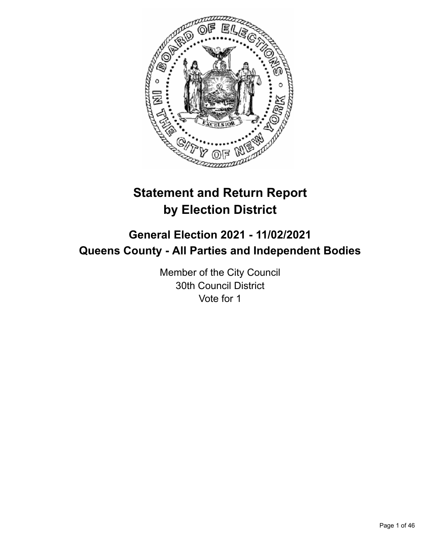

# **Statement and Return Report by Election District**

# **General Election 2021 - 11/02/2021 Queens County - All Parties and Independent Bodies**

Member of the City Council 30th Council District Vote for 1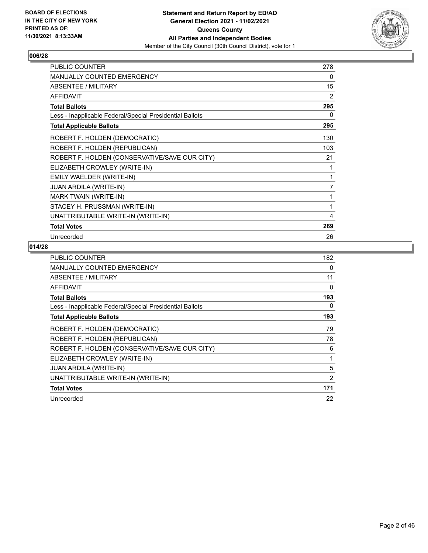

| <b>PUBLIC COUNTER</b>                                    | 278 |
|----------------------------------------------------------|-----|
| MANUALLY COUNTED EMERGENCY                               | 0   |
| <b>ABSENTEE / MILITARY</b>                               | 15  |
| <b>AFFIDAVIT</b>                                         | 2   |
| <b>Total Ballots</b>                                     | 295 |
| Less - Inapplicable Federal/Special Presidential Ballots | 0   |
| <b>Total Applicable Ballots</b>                          | 295 |
| ROBERT F. HOLDEN (DEMOCRATIC)                            | 130 |
| ROBERT F. HOLDEN (REPUBLICAN)                            | 103 |
| ROBERT F. HOLDEN (CONSERVATIVE/SAVE OUR CITY)            | 21  |
| ELIZABETH CROWLEY (WRITE-IN)                             |     |
| EMILY WAELDER (WRITE-IN)                                 | 1   |
| <b>JUAN ARDILA (WRITE-IN)</b>                            | 7   |
| <b>MARK TWAIN (WRITE-IN)</b>                             | 1   |
| STACEY H. PRUSSMAN (WRITE-IN)                            | 1   |
| UNATTRIBUTABLE WRITE-IN (WRITE-IN)                       | 4   |
| <b>Total Votes</b>                                       | 269 |
| Unrecorded                                               | 26  |

| <b>PUBLIC COUNTER</b>                                    | 182 |
|----------------------------------------------------------|-----|
| <b>MANUALLY COUNTED EMERGENCY</b>                        | 0   |
| ABSENTEE / MILITARY                                      | 11  |
| <b>AFFIDAVIT</b>                                         | 0   |
| <b>Total Ballots</b>                                     | 193 |
| Less - Inapplicable Federal/Special Presidential Ballots | 0   |
| <b>Total Applicable Ballots</b>                          | 193 |
| ROBERT F. HOLDEN (DEMOCRATIC)                            | 79  |
| ROBERT F. HOLDEN (REPUBLICAN)                            | 78  |
| ROBERT F. HOLDEN (CONSERVATIVE/SAVE OUR CITY)            | 6   |
| ELIZABETH CROWLEY (WRITE-IN)                             | 1   |
| <b>JUAN ARDILA (WRITE-IN)</b>                            | 5   |
| UNATTRIBUTABLE WRITE-IN (WRITE-IN)                       | 2   |
| <b>Total Votes</b>                                       | 171 |
| Unrecorded                                               | 22  |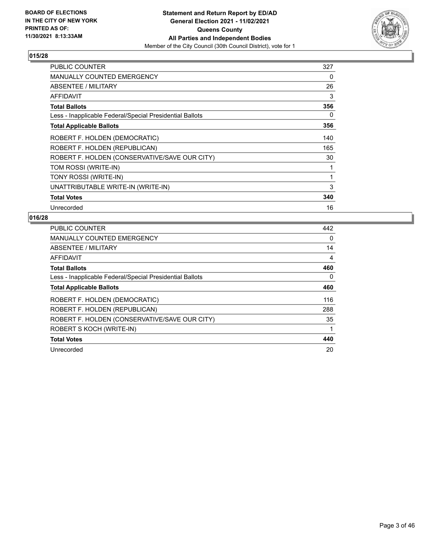

| <b>PUBLIC COUNTER</b>                                    | 327 |
|----------------------------------------------------------|-----|
| <b>MANUALLY COUNTED EMERGENCY</b>                        | 0   |
| ABSENTEE / MILITARY                                      | 26  |
| AFFIDAVIT                                                | 3   |
| <b>Total Ballots</b>                                     | 356 |
| Less - Inapplicable Federal/Special Presidential Ballots | 0   |
| <b>Total Applicable Ballots</b>                          | 356 |
| ROBERT F. HOLDEN (DEMOCRATIC)                            | 140 |
| ROBERT F. HOLDEN (REPUBLICAN)                            | 165 |
| ROBERT F. HOLDEN (CONSERVATIVE/SAVE OUR CITY)            | 30  |
| TOM ROSSI (WRITE-IN)                                     | 1   |
| TONY ROSSI (WRITE-IN)                                    | 1   |
| UNATTRIBUTABLE WRITE-IN (WRITE-IN)                       | 3   |
| <b>Total Votes</b>                                       | 340 |
| Unrecorded                                               | 16  |

| <b>PUBLIC COUNTER</b>                                    | 442 |
|----------------------------------------------------------|-----|
| <b>MANUALLY COUNTED EMERGENCY</b>                        | 0   |
| ABSENTEE / MILITARY                                      | 14  |
| <b>AFFIDAVIT</b>                                         | 4   |
| <b>Total Ballots</b>                                     | 460 |
| Less - Inapplicable Federal/Special Presidential Ballots | 0   |
| <b>Total Applicable Ballots</b>                          | 460 |
| ROBERT F. HOLDEN (DEMOCRATIC)                            | 116 |
| ROBERT F. HOLDEN (REPUBLICAN)                            | 288 |
| ROBERT F. HOLDEN (CONSERVATIVE/SAVE OUR CITY)            | 35  |
| ROBERT S KOCH (WRITE-IN)                                 |     |
| <b>Total Votes</b>                                       | 440 |
| Unrecorded                                               | 20  |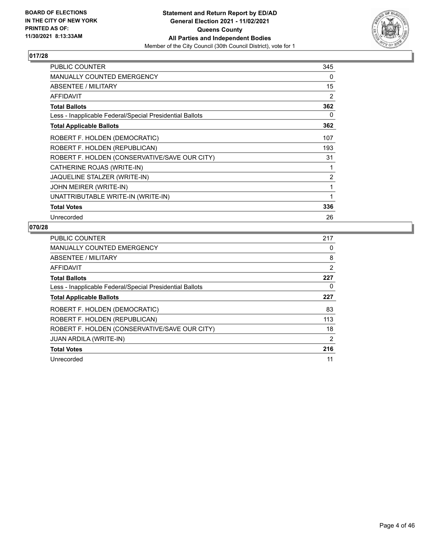

| <b>PUBLIC COUNTER</b>                                    | 345 |
|----------------------------------------------------------|-----|
| <b>MANUALLY COUNTED EMERGENCY</b>                        | 0   |
| ABSENTEE / MILITARY                                      | 15  |
| <b>AFFIDAVIT</b>                                         | 2   |
| <b>Total Ballots</b>                                     | 362 |
| Less - Inapplicable Federal/Special Presidential Ballots | 0   |
| <b>Total Applicable Ballots</b>                          | 362 |
| ROBERT F. HOLDEN (DEMOCRATIC)                            | 107 |
| ROBERT F. HOLDEN (REPUBLICAN)                            | 193 |
| ROBERT F. HOLDEN (CONSERVATIVE/SAVE OUR CITY)            | 31  |
| CATHERINE ROJAS (WRITE-IN)                               | 1   |
| JAQUELINE STALZER (WRITE-IN)                             | 2   |
| JOHN MEIRER (WRITE-IN)                                   | 1   |
| UNATTRIBUTABLE WRITE-IN (WRITE-IN)                       | 1   |
| <b>Total Votes</b>                                       | 336 |
| Unrecorded                                               | 26  |

| PUBLIC COUNTER                                           | 217 |
|----------------------------------------------------------|-----|
| <b>MANUALLY COUNTED EMERGENCY</b>                        | 0   |
| ABSENTEE / MILITARY                                      | 8   |
| <b>AFFIDAVIT</b>                                         | 2   |
| <b>Total Ballots</b>                                     | 227 |
| Less - Inapplicable Federal/Special Presidential Ballots | 0   |
| <b>Total Applicable Ballots</b>                          | 227 |
| ROBERT F. HOLDEN (DEMOCRATIC)                            | 83  |
| ROBERT F. HOLDEN (REPUBLICAN)                            | 113 |
| ROBERT F. HOLDEN (CONSERVATIVE/SAVE OUR CITY)            | 18  |
| <b>JUAN ARDILA (WRITE-IN)</b>                            | 2   |
| <b>Total Votes</b>                                       | 216 |
| Unrecorded                                               | 11  |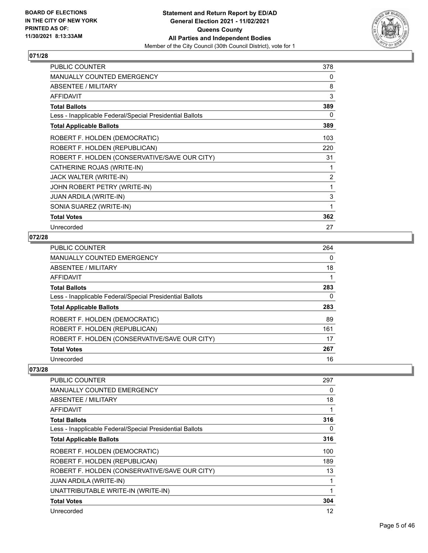

| <b>PUBLIC COUNTER</b>                                    | 378 |
|----------------------------------------------------------|-----|
| <b>MANUALLY COUNTED EMERGENCY</b>                        | 0   |
| <b>ABSENTEE / MILITARY</b>                               | 8   |
| AFFIDAVIT                                                | 3   |
| <b>Total Ballots</b>                                     | 389 |
| Less - Inapplicable Federal/Special Presidential Ballots | 0   |
| <b>Total Applicable Ballots</b>                          | 389 |
| ROBERT F. HOLDEN (DEMOCRATIC)                            | 103 |
| ROBERT F. HOLDEN (REPUBLICAN)                            | 220 |
| ROBERT F. HOLDEN (CONSERVATIVE/SAVE OUR CITY)            | 31  |
| CATHERINE ROJAS (WRITE-IN)                               | 1   |
| JACK WALTER (WRITE-IN)                                   | 2   |
| JOHN ROBERT PETRY (WRITE-IN)                             | 1   |
| <b>JUAN ARDILA (WRITE-IN)</b>                            | 3   |
| SONIA SUAREZ (WRITE-IN)                                  | 1   |
| <b>Total Votes</b>                                       | 362 |
| Unrecorded                                               | 27  |

# **072/28**

| <b>PUBLIC COUNTER</b>                                    | 264 |
|----------------------------------------------------------|-----|
| <b>MANUALLY COUNTED EMERGENCY</b>                        | 0   |
| <b>ABSENTEE / MILITARY</b>                               | 18  |
| AFFIDAVIT                                                |     |
| <b>Total Ballots</b>                                     | 283 |
| Less - Inapplicable Federal/Special Presidential Ballots | 0   |
| <b>Total Applicable Ballots</b>                          | 283 |
| ROBERT F. HOLDEN (DEMOCRATIC)                            | 89  |
| ROBERT F. HOLDEN (REPUBLICAN)                            | 161 |
| ROBERT F. HOLDEN (CONSERVATIVE/SAVE OUR CITY)            | 17  |
| <b>Total Votes</b>                                       | 267 |
| Unrecorded                                               | 16  |

| PUBLIC COUNTER                                           | 297 |
|----------------------------------------------------------|-----|
| <b>MANUALLY COUNTED EMERGENCY</b>                        | 0   |
| ABSENTEE / MILITARY                                      | 18  |
| AFFIDAVIT                                                | 1   |
| <b>Total Ballots</b>                                     | 316 |
| Less - Inapplicable Federal/Special Presidential Ballots | 0   |
| <b>Total Applicable Ballots</b>                          | 316 |
| ROBERT F. HOLDEN (DEMOCRATIC)                            | 100 |
| ROBERT F. HOLDEN (REPUBLICAN)                            | 189 |
| ROBERT F. HOLDEN (CONSERVATIVE/SAVE OUR CITY)            | 13  |
| <b>JUAN ARDILA (WRITE-IN)</b>                            | 1   |
| UNATTRIBUTABLE WRITE-IN (WRITE-IN)                       | 1   |
| <b>Total Votes</b>                                       | 304 |
| Unrecorded                                               | 12  |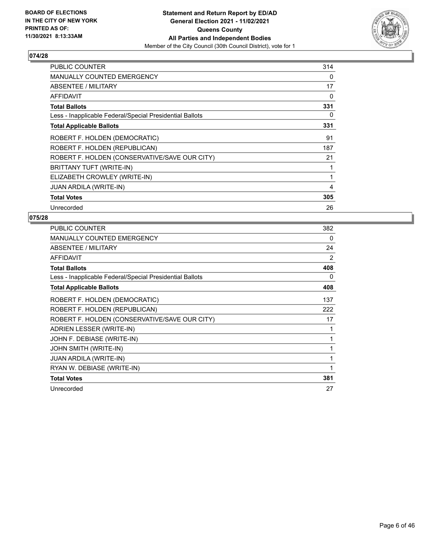

| <b>PUBLIC COUNTER</b>                                    | 314 |
|----------------------------------------------------------|-----|
| <b>MANUALLY COUNTED EMERGENCY</b>                        | 0   |
| ABSENTEE / MILITARY                                      | 17  |
| AFFIDAVIT                                                | 0   |
| <b>Total Ballots</b>                                     | 331 |
| Less - Inapplicable Federal/Special Presidential Ballots | 0   |
| <b>Total Applicable Ballots</b>                          | 331 |
| ROBERT F. HOLDEN (DEMOCRATIC)                            | 91  |
| ROBERT F. HOLDEN (REPUBLICAN)                            | 187 |
| ROBERT F. HOLDEN (CONSERVATIVE/SAVE OUR CITY)            | 21  |
| BRITTANY TUFT (WRITE-IN)                                 | 1   |
| ELIZABETH CROWLEY (WRITE-IN)                             | 1   |
| <b>JUAN ARDILA (WRITE-IN)</b>                            | 4   |
| <b>Total Votes</b>                                       | 305 |
| Unrecorded                                               | 26  |

| PUBLIC COUNTER                                           | 382 |
|----------------------------------------------------------|-----|
| <b>MANUALLY COUNTED EMERGENCY</b>                        | 0   |
| ABSENTEE / MILITARY                                      | 24  |
| <b>AFFIDAVIT</b>                                         | 2   |
| <b>Total Ballots</b>                                     | 408 |
| Less - Inapplicable Federal/Special Presidential Ballots | 0   |
| <b>Total Applicable Ballots</b>                          | 408 |
| ROBERT F. HOLDEN (DEMOCRATIC)                            | 137 |
| ROBERT F. HOLDEN (REPUBLICAN)                            | 222 |
| ROBERT F. HOLDEN (CONSERVATIVE/SAVE OUR CITY)            | 17  |
| ADRIEN LESSER (WRITE-IN)                                 | 1   |
| JOHN F. DEBIASE (WRITE-IN)                               | 1   |
| JOHN SMITH (WRITE-IN)                                    | 1   |
| <b>JUAN ARDILA (WRITE-IN)</b>                            | 1   |
| RYAN W. DEBIASE (WRITE-IN)                               | 1   |
| <b>Total Votes</b>                                       | 381 |
| Unrecorded                                               | 27  |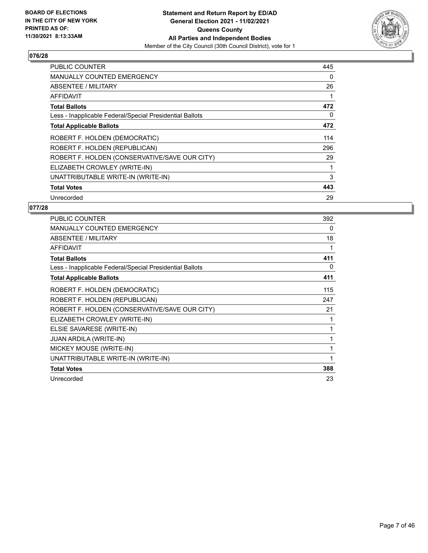

| <b>PUBLIC COUNTER</b>                                    | 445 |
|----------------------------------------------------------|-----|
| <b>MANUALLY COUNTED EMERGENCY</b>                        | 0   |
| <b>ABSENTEE / MILITARY</b>                               | 26  |
| AFFIDAVIT                                                |     |
| <b>Total Ballots</b>                                     | 472 |
| Less - Inapplicable Federal/Special Presidential Ballots | 0   |
| <b>Total Applicable Ballots</b>                          | 472 |
| ROBERT F. HOLDEN (DEMOCRATIC)                            | 114 |
| ROBERT F. HOLDEN (REPUBLICAN)                            | 296 |
| ROBERT F. HOLDEN (CONSERVATIVE/SAVE OUR CITY)            | 29  |
| ELIZABETH CROWLEY (WRITE-IN)                             | 1   |
| UNATTRIBUTABLE WRITE-IN (WRITE-IN)                       | 3   |
| <b>Total Votes</b>                                       | 443 |
| Unrecorded                                               | 29  |

| PUBLIC COUNTER                                           | 392 |
|----------------------------------------------------------|-----|
| MANUALLY COUNTED EMERGENCY                               | 0   |
| ABSENTEE / MILITARY                                      | 18  |
| <b>AFFIDAVIT</b>                                         | 1   |
| <b>Total Ballots</b>                                     | 411 |
| Less - Inapplicable Federal/Special Presidential Ballots | 0   |
| <b>Total Applicable Ballots</b>                          | 411 |
| ROBERT F. HOLDEN (DEMOCRATIC)                            | 115 |
| ROBERT F. HOLDEN (REPUBLICAN)                            | 247 |
| ROBERT F. HOLDEN (CONSERVATIVE/SAVE OUR CITY)            | 21  |
| ELIZABETH CROWLEY (WRITE-IN)                             |     |
| ELSIE SAVARESE (WRITE-IN)                                | 1   |
| <b>JUAN ARDILA (WRITE-IN)</b>                            | 1   |
| MICKEY MOUSE (WRITE-IN)                                  |     |
| UNATTRIBUTABLE WRITE-IN (WRITE-IN)                       | 1   |
| <b>Total Votes</b>                                       | 388 |
| Unrecorded                                               | 23  |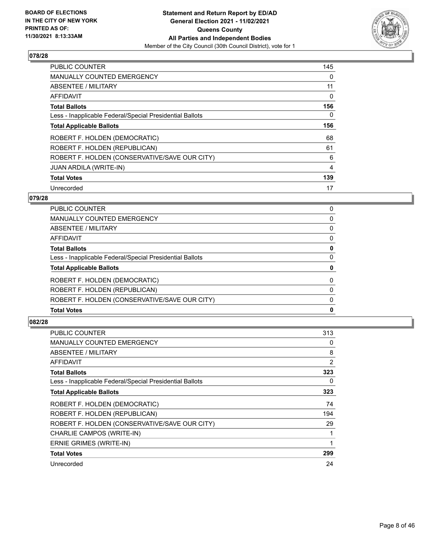

| <b>PUBLIC COUNTER</b>                                    | 145 |
|----------------------------------------------------------|-----|
| <b>MANUALLY COUNTED EMERGENCY</b>                        | 0   |
| ABSENTEE / MILITARY                                      | 11  |
| <b>AFFIDAVIT</b>                                         | 0   |
| <b>Total Ballots</b>                                     | 156 |
| Less - Inapplicable Federal/Special Presidential Ballots | 0   |
| <b>Total Applicable Ballots</b>                          | 156 |
| ROBERT F. HOLDEN (DEMOCRATIC)                            | 68  |
| ROBERT F. HOLDEN (REPUBLICAN)                            | 61  |
| ROBERT F. HOLDEN (CONSERVATIVE/SAVE OUR CITY)            | 6   |
| <b>JUAN ARDILA (WRITE-IN)</b>                            | 4   |
| <b>Total Votes</b>                                       | 139 |
| Unrecorded                                               | 17  |

# **079/28**

| PUBLIC COUNTER                                           | 0            |
|----------------------------------------------------------|--------------|
| MANUALLY COUNTED EMERGENCY                               | $\Omega$     |
| <b>ABSENTEE / MILITARY</b>                               | 0            |
| AFFIDAVIT                                                | 0            |
| <b>Total Ballots</b>                                     | 0            |
| Less - Inapplicable Federal/Special Presidential Ballots | 0            |
| <b>Total Applicable Ballots</b>                          | 0            |
| ROBERT F. HOLDEN (DEMOCRATIC)                            | $\Omega$     |
| ROBERT F. HOLDEN (REPUBLICAN)                            | $\Omega$     |
| ROBERT F. HOLDEN (CONSERVATIVE/SAVE OUR CITY)            | $\Omega$     |
| <b>Total Votes</b>                                       | $\mathbf{0}$ |
|                                                          |              |

| <b>PUBLIC COUNTER</b>                                    | 313 |
|----------------------------------------------------------|-----|
| <b>MANUALLY COUNTED EMERGENCY</b>                        | 0   |
| ABSENTEE / MILITARY                                      | 8   |
| AFFIDAVIT                                                | 2   |
| <b>Total Ballots</b>                                     | 323 |
| Less - Inapplicable Federal/Special Presidential Ballots | 0   |
| <b>Total Applicable Ballots</b>                          | 323 |
| ROBERT F. HOLDEN (DEMOCRATIC)                            | 74  |
| ROBERT F. HOLDEN (REPUBLICAN)                            | 194 |
| ROBERT F. HOLDEN (CONSERVATIVE/SAVE OUR CITY)            | 29  |
| CHARLIE CAMPOS (WRITE-IN)                                | 1   |
| ERNIE GRIMES (WRITE-IN)                                  | 1   |
| <b>Total Votes</b>                                       | 299 |
| Unrecorded                                               | 24  |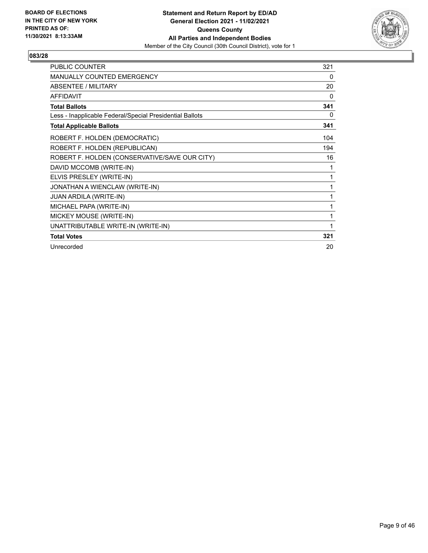

| <b>PUBLIC COUNTER</b>                                    | 321 |
|----------------------------------------------------------|-----|
| <b>MANUALLY COUNTED EMERGENCY</b>                        | 0   |
| <b>ABSENTEE / MILITARY</b>                               | 20  |
| <b>AFFIDAVIT</b>                                         | 0   |
| <b>Total Ballots</b>                                     | 341 |
| Less - Inapplicable Federal/Special Presidential Ballots | 0   |
| <b>Total Applicable Ballots</b>                          | 341 |
| ROBERT F. HOLDEN (DEMOCRATIC)                            | 104 |
| ROBERT F. HOLDEN (REPUBLICAN)                            | 194 |
| ROBERT F. HOLDEN (CONSERVATIVE/SAVE OUR CITY)            | 16  |
| DAVID MCCOMB (WRITE-IN)                                  | 1   |
| ELVIS PRESLEY (WRITE-IN)                                 | 1   |
| JONATHAN A WIENCLAW (WRITE-IN)                           | 1   |
| JUAN ARDILA (WRITE-IN)                                   | 1   |
| MICHAEL PAPA (WRITE-IN)                                  | 1   |
| MICKEY MOUSE (WRITE-IN)                                  | 1   |
| UNATTRIBUTABLE WRITE-IN (WRITE-IN)                       | 1   |
| <b>Total Votes</b>                                       | 321 |
| Unrecorded                                               | 20  |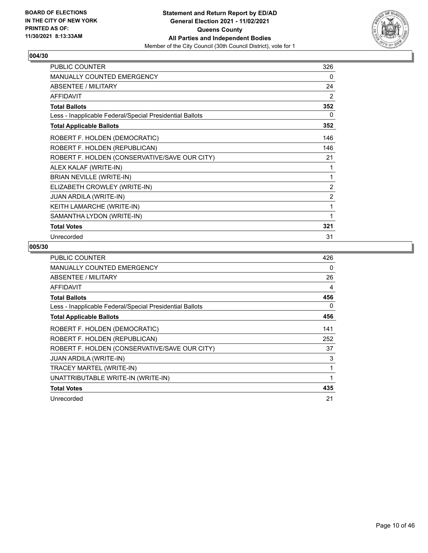

| <b>PUBLIC COUNTER</b>                                    | 326            |
|----------------------------------------------------------|----------------|
| <b>MANUALLY COUNTED EMERGENCY</b>                        | 0              |
| <b>ABSENTEE / MILITARY</b>                               | 24             |
| <b>AFFIDAVIT</b>                                         | 2              |
| <b>Total Ballots</b>                                     | 352            |
| Less - Inapplicable Federal/Special Presidential Ballots | 0              |
| <b>Total Applicable Ballots</b>                          | 352            |
| ROBERT F. HOLDEN (DEMOCRATIC)                            | 146            |
| ROBERT F. HOLDEN (REPUBLICAN)                            | 146            |
| ROBERT F. HOLDEN (CONSERVATIVE/SAVE OUR CITY)            | 21             |
| ALEX KALAF (WRITE-IN)                                    |                |
| BRIAN NEVILLE (WRITE-IN)                                 | 1              |
| ELIZABETH CROWLEY (WRITE-IN)                             | $\overline{2}$ |
| <b>JUAN ARDILA (WRITE-IN)</b>                            | 2              |
| KEITH LAMARCHE (WRITE-IN)                                | 1              |
| SAMANTHA LYDON (WRITE-IN)                                |                |
| <b>Total Votes</b>                                       | 321            |
| Unrecorded                                               | 31             |

| <b>PUBLIC COUNTER</b>                                    | 426 |
|----------------------------------------------------------|-----|
| <b>MANUALLY COUNTED EMERGENCY</b>                        | 0   |
| ABSENTEE / MILITARY                                      | 26  |
| AFFIDAVIT                                                | 4   |
| <b>Total Ballots</b>                                     | 456 |
| Less - Inapplicable Federal/Special Presidential Ballots | 0   |
| <b>Total Applicable Ballots</b>                          | 456 |
| ROBERT F. HOLDEN (DEMOCRATIC)                            | 141 |
| ROBERT F. HOLDEN (REPUBLICAN)                            | 252 |
| ROBERT F. HOLDEN (CONSERVATIVE/SAVE OUR CITY)            | 37  |
| <b>JUAN ARDILA (WRITE-IN)</b>                            | 3   |
| TRACEY MARTEL (WRITE-IN)                                 | 1   |
| UNATTRIBUTABLE WRITE-IN (WRITE-IN)                       | 1   |
| <b>Total Votes</b>                                       | 435 |
| Unrecorded                                               | 21  |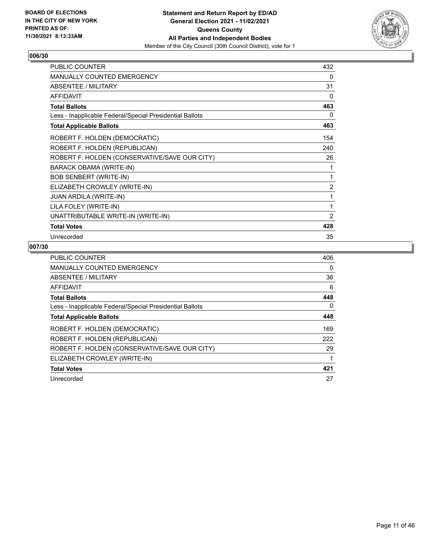

| PUBLIC COUNTER                                           | 432            |
|----------------------------------------------------------|----------------|
| <b>MANUALLY COUNTED EMERGENCY</b>                        | $\Omega$       |
| <b>ABSENTEE / MILITARY</b>                               | 31             |
| <b>AFFIDAVIT</b>                                         | $\Omega$       |
| <b>Total Ballots</b>                                     | 463            |
| Less - Inapplicable Federal/Special Presidential Ballots | $\Omega$       |
| <b>Total Applicable Ballots</b>                          | 463            |
| ROBERT F. HOLDEN (DEMOCRATIC)                            | 154            |
| ROBERT F. HOLDEN (REPUBLICAN)                            | 240            |
| ROBERT F. HOLDEN (CONSERVATIVE/SAVE OUR CITY)            | 26             |
| BARACK OBAMA (WRITE-IN)                                  | 1              |
| <b>BOB SENBERT (WRITE-IN)</b>                            | 1              |
| ELIZABETH CROWLEY (WRITE-IN)                             | $\overline{2}$ |
| <b>JUAN ARDILA (WRITE-IN)</b>                            | 1              |
| LILA FOLEY (WRITE-IN)                                    | 1              |
| UNATTRIBUTABLE WRITE-IN (WRITE-IN)                       | 2              |
| <b>Total Votes</b>                                       | 428            |
| Unrecorded                                               | 35             |

| <b>PUBLIC COUNTER</b>                                    | 406      |
|----------------------------------------------------------|----------|
| MANUALLY COUNTED EMERGENCY                               | $\Omega$ |
| ABSENTEE / MILITARY                                      | 36       |
| AFFIDAVIT                                                | 6        |
| <b>Total Ballots</b>                                     | 448      |
| Less - Inapplicable Federal/Special Presidential Ballots | 0        |
| <b>Total Applicable Ballots</b>                          | 448      |
| ROBERT F. HOLDEN (DEMOCRATIC)                            | 169      |
| ROBERT F. HOLDEN (REPUBLICAN)                            | 222      |
| ROBERT F. HOLDEN (CONSERVATIVE/SAVE OUR CITY)            | 29       |
| ELIZABETH CROWLEY (WRITE-IN)                             |          |
| <b>Total Votes</b>                                       | 421      |
| Unrecorded                                               | 27       |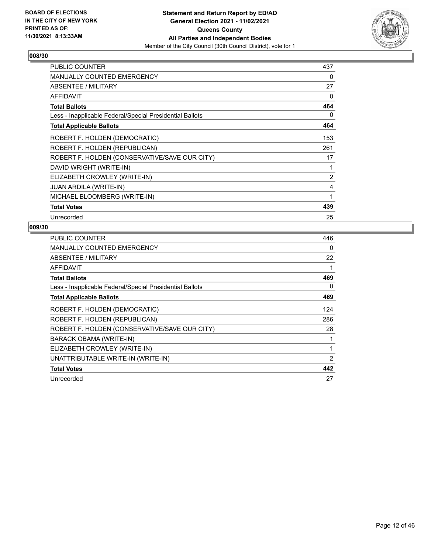

| <b>PUBLIC COUNTER</b>                                    | 437 |
|----------------------------------------------------------|-----|
| <b>MANUALLY COUNTED EMERGENCY</b>                        | 0   |
| ABSENTEE / MILITARY                                      | 27  |
| <b>AFFIDAVIT</b>                                         | 0   |
| <b>Total Ballots</b>                                     | 464 |
| Less - Inapplicable Federal/Special Presidential Ballots | 0   |
| <b>Total Applicable Ballots</b>                          | 464 |
| ROBERT F. HOLDEN (DEMOCRATIC)                            | 153 |
| ROBERT F. HOLDEN (REPUBLICAN)                            | 261 |
| ROBERT F. HOLDEN (CONSERVATIVE/SAVE OUR CITY)            | 17  |
| DAVID WRIGHT (WRITE-IN)                                  | 1   |
| ELIZABETH CROWLEY (WRITE-IN)                             | 2   |
| <b>JUAN ARDILA (WRITE-IN)</b>                            | 4   |
| MICHAEL BLOOMBERG (WRITE-IN)                             | 1   |
| <b>Total Votes</b>                                       | 439 |
| Unrecorded                                               | 25  |

| <b>PUBLIC COUNTER</b>                                    | 446            |
|----------------------------------------------------------|----------------|
| <b>MANUALLY COUNTED EMERGENCY</b>                        | 0              |
| ABSENTEE / MILITARY                                      | 22             |
| AFFIDAVIT                                                | 1              |
| <b>Total Ballots</b>                                     | 469            |
| Less - Inapplicable Federal/Special Presidential Ballots | 0              |
| <b>Total Applicable Ballots</b>                          | 469            |
| ROBERT F. HOLDEN (DEMOCRATIC)                            | 124            |
| ROBERT F. HOLDEN (REPUBLICAN)                            | 286            |
| ROBERT F. HOLDEN (CONSERVATIVE/SAVE OUR CITY)            | 28             |
| <b>BARACK OBAMA (WRITE-IN)</b>                           | 1              |
| ELIZABETH CROWLEY (WRITE-IN)                             | 1              |
| UNATTRIBUTABLE WRITE-IN (WRITE-IN)                       | $\overline{2}$ |
| <b>Total Votes</b>                                       | 442            |
| Unrecorded                                               | 27             |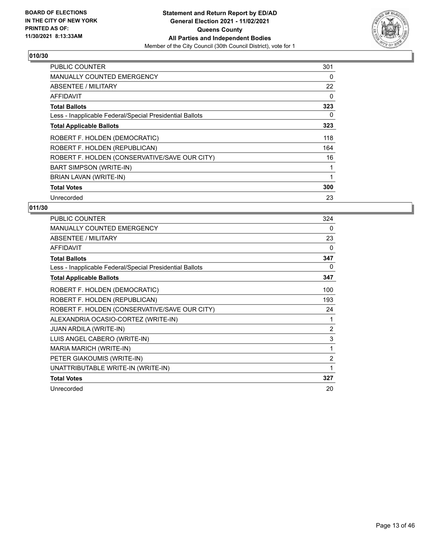

| <b>PUBLIC COUNTER</b>                                    | 301 |
|----------------------------------------------------------|-----|
| <b>MANUALLY COUNTED EMERGENCY</b>                        | 0   |
| ABSENTEE / MILITARY                                      | 22  |
| AFFIDAVIT                                                | 0   |
| <b>Total Ballots</b>                                     | 323 |
| Less - Inapplicable Federal/Special Presidential Ballots | 0   |
| <b>Total Applicable Ballots</b>                          | 323 |
| ROBERT F. HOLDEN (DEMOCRATIC)                            | 118 |
| ROBERT F. HOLDEN (REPUBLICAN)                            | 164 |
| ROBERT F. HOLDEN (CONSERVATIVE/SAVE OUR CITY)            | 16  |
| <b>BART SIMPSON (WRITE-IN)</b>                           | 1   |
| BRIAN LAVAN (WRITE-IN)                                   | 1   |
| <b>Total Votes</b>                                       | 300 |
| Unrecorded                                               | 23  |

| PUBLIC COUNTER                                           | 324            |
|----------------------------------------------------------|----------------|
| <b>MANUALLY COUNTED EMERGENCY</b>                        | 0              |
| ABSENTEE / MILITARY                                      | 23             |
| <b>AFFIDAVIT</b>                                         | $\Omega$       |
| <b>Total Ballots</b>                                     | 347            |
| Less - Inapplicable Federal/Special Presidential Ballots | 0              |
| <b>Total Applicable Ballots</b>                          | 347            |
| ROBERT F. HOLDEN (DEMOCRATIC)                            | 100            |
| ROBERT F. HOLDEN (REPUBLICAN)                            | 193            |
| ROBERT F. HOLDEN (CONSERVATIVE/SAVE OUR CITY)            | 24             |
| ALEXANDRIA OCASIO-CORTEZ (WRITE-IN)                      | 1              |
| JUAN ARDILA (WRITE-IN)                                   | $\overline{2}$ |
| LUIS ANGEL CABERO (WRITE-IN)                             | 3              |
| MARIA MARICH (WRITE-IN)                                  | 1              |
| PETER GIAKOUMIS (WRITE-IN)                               | $\overline{2}$ |
| UNATTRIBUTABLE WRITE-IN (WRITE-IN)                       | 1              |
| <b>Total Votes</b>                                       | 327            |
| Unrecorded                                               | 20             |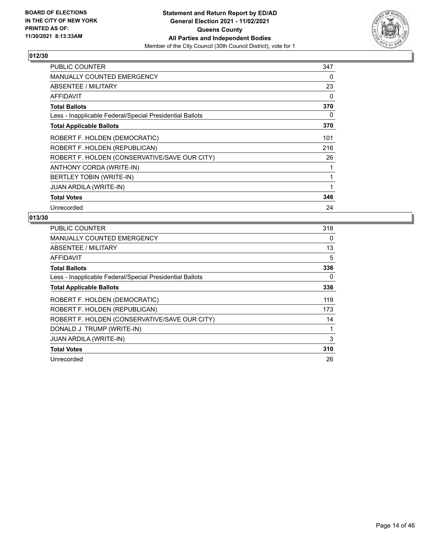

| <b>PUBLIC COUNTER</b>                                    | 347 |
|----------------------------------------------------------|-----|
| <b>MANUALLY COUNTED EMERGENCY</b>                        | 0   |
| ABSENTEE / MILITARY                                      | 23  |
| AFFIDAVIT                                                | 0   |
| <b>Total Ballots</b>                                     | 370 |
| Less - Inapplicable Federal/Special Presidential Ballots | 0   |
| <b>Total Applicable Ballots</b>                          | 370 |
| ROBERT F. HOLDEN (DEMOCRATIC)                            | 101 |
| ROBERT F. HOLDEN (REPUBLICAN)                            | 216 |
| ROBERT F. HOLDEN (CONSERVATIVE/SAVE OUR CITY)            | 26  |
| ANTHONY CORDA (WRITE-IN)                                 | 1   |
| BERTLEY TOBIN (WRITE-IN)                                 | 1   |
| <b>JUAN ARDILA (WRITE-IN)</b>                            | 1   |
| <b>Total Votes</b>                                       | 346 |
| Unrecorded                                               | 24  |

| <b>PUBLIC COUNTER</b>                                    | 318 |
|----------------------------------------------------------|-----|
| <b>MANUALLY COUNTED EMERGENCY</b>                        | 0   |
| <b>ABSENTEE / MILITARY</b>                               | 13  |
| AFFIDAVIT                                                | 5   |
| <b>Total Ballots</b>                                     | 336 |
| Less - Inapplicable Federal/Special Presidential Ballots | 0   |
| <b>Total Applicable Ballots</b>                          | 336 |
| ROBERT F. HOLDEN (DEMOCRATIC)                            | 119 |
| ROBERT F. HOLDEN (REPUBLICAN)                            | 173 |
| ROBERT F. HOLDEN (CONSERVATIVE/SAVE OUR CITY)            | 14  |
| DONALD J. TRUMP (WRITE-IN)                               |     |
| <b>JUAN ARDILA (WRITE-IN)</b>                            | 3   |
| <b>Total Votes</b>                                       | 310 |
| Unrecorded                                               | 26  |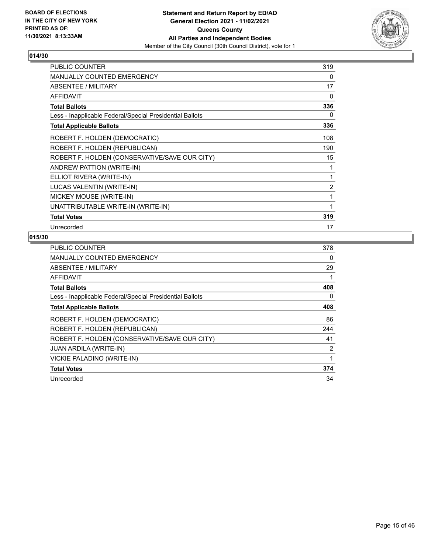

| <b>PUBLIC COUNTER</b>                                    | 319            |
|----------------------------------------------------------|----------------|
| MANUALLY COUNTED EMERGENCY                               | 0              |
| <b>ABSENTEE / MILITARY</b>                               | 17             |
| <b>AFFIDAVIT</b>                                         | $\Omega$       |
| <b>Total Ballots</b>                                     | 336            |
| Less - Inapplicable Federal/Special Presidential Ballots | $\Omega$       |
| <b>Total Applicable Ballots</b>                          | 336            |
| ROBERT F. HOLDEN (DEMOCRATIC)                            | 108            |
| ROBERT F. HOLDEN (REPUBLICAN)                            | 190            |
| ROBERT F. HOLDEN (CONSERVATIVE/SAVE OUR CITY)            | 15             |
| ANDREW PATTION (WRITE-IN)                                | 1              |
| ELLIOT RIVERA (WRITE-IN)                                 | 1              |
| LUCAS VALENTIN (WRITE-IN)                                | $\overline{2}$ |
| MICKEY MOUSE (WRITE-IN)                                  | 1              |
| UNATTRIBUTABLE WRITE-IN (WRITE-IN)                       | 1              |
| <b>Total Votes</b>                                       | 319            |
| Unrecorded                                               | 17             |

| <b>PUBLIC COUNTER</b>                                    | 378 |
|----------------------------------------------------------|-----|
| <b>MANUALLY COUNTED EMERGENCY</b>                        | 0   |
| ABSENTEE / MILITARY                                      | 29  |
| AFFIDAVIT                                                | 1   |
| <b>Total Ballots</b>                                     | 408 |
| Less - Inapplicable Federal/Special Presidential Ballots | 0   |
| <b>Total Applicable Ballots</b>                          | 408 |
| ROBERT F. HOLDEN (DEMOCRATIC)                            | 86  |
| ROBERT F. HOLDEN (REPUBLICAN)                            | 244 |
| ROBERT F. HOLDEN (CONSERVATIVE/SAVE OUR CITY)            | 41  |
| <b>JUAN ARDILA (WRITE-IN)</b>                            | 2   |
| VICKIE PALADINO (WRITE-IN)                               | 1   |
| <b>Total Votes</b>                                       | 374 |
| Unrecorded                                               | 34  |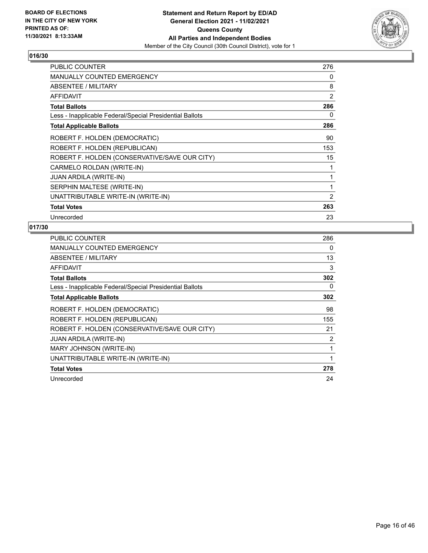

| <b>PUBLIC COUNTER</b>                                    | 276 |
|----------------------------------------------------------|-----|
| <b>MANUALLY COUNTED EMERGENCY</b>                        | 0   |
| ABSENTEE / MILITARY                                      | 8   |
| <b>AFFIDAVIT</b>                                         | 2   |
| <b>Total Ballots</b>                                     | 286 |
| Less - Inapplicable Federal/Special Presidential Ballots | 0   |
| <b>Total Applicable Ballots</b>                          | 286 |
| ROBERT F. HOLDEN (DEMOCRATIC)                            | 90  |
| ROBERT F. HOLDEN (REPUBLICAN)                            | 153 |
| ROBERT F. HOLDEN (CONSERVATIVE/SAVE OUR CITY)            | 15  |
| CARMELO ROLDAN (WRITE-IN)                                | 1   |
| <b>JUAN ARDILA (WRITE-IN)</b>                            | 1   |
| SERPHIN MALTESE (WRITE-IN)                               | 1   |
| UNATTRIBUTABLE WRITE-IN (WRITE-IN)                       | 2   |
| <b>Total Votes</b>                                       | 263 |
| Unrecorded                                               | 23  |

| <b>PUBLIC COUNTER</b>                                    | 286 |
|----------------------------------------------------------|-----|
| <b>MANUALLY COUNTED EMERGENCY</b>                        | 0   |
| ABSENTEE / MILITARY                                      | 13  |
| <b>AFFIDAVIT</b>                                         | 3   |
| <b>Total Ballots</b>                                     | 302 |
| Less - Inapplicable Federal/Special Presidential Ballots | 0   |
| <b>Total Applicable Ballots</b>                          | 302 |
| ROBERT F. HOLDEN (DEMOCRATIC)                            | 98  |
| ROBERT F. HOLDEN (REPUBLICAN)                            | 155 |
| ROBERT F. HOLDEN (CONSERVATIVE/SAVE OUR CITY)            | 21  |
| <b>JUAN ARDILA (WRITE-IN)</b>                            | 2   |
| MARY JOHNSON (WRITE-IN)                                  |     |
| UNATTRIBUTABLE WRITE-IN (WRITE-IN)                       |     |
| <b>Total Votes</b>                                       | 278 |
| Unrecorded                                               | 24  |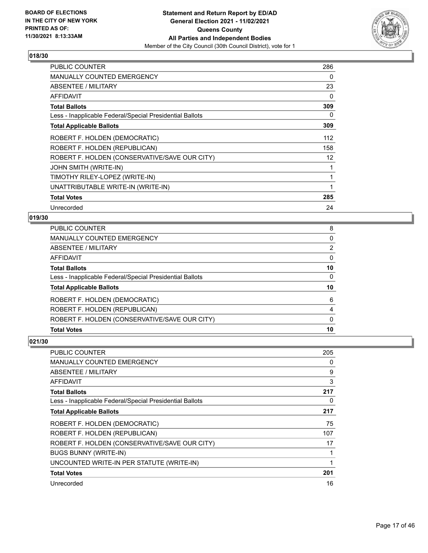

| <b>PUBLIC COUNTER</b>                                    | 286 |
|----------------------------------------------------------|-----|
| <b>MANUALLY COUNTED EMERGENCY</b>                        | 0   |
| ABSENTEE / MILITARY                                      | 23  |
| AFFIDAVIT                                                | 0   |
| <b>Total Ballots</b>                                     | 309 |
| Less - Inapplicable Federal/Special Presidential Ballots | 0   |
| <b>Total Applicable Ballots</b>                          | 309 |
| ROBERT F. HOLDEN (DEMOCRATIC)                            | 112 |
| ROBERT F. HOLDEN (REPUBLICAN)                            | 158 |
| ROBERT F. HOLDEN (CONSERVATIVE/SAVE OUR CITY)            | 12  |
| JOHN SMITH (WRITE-IN)                                    |     |
| TIMOTHY RILEY-LOPEZ (WRITE-IN)                           | 1   |
| UNATTRIBUTABLE WRITE-IN (WRITE-IN)                       | 1   |
| <b>Total Votes</b>                                       | 285 |
| Unrecorded                                               | 24  |

## **019/30**

| PUBLIC COUNTER                                           | 8        |
|----------------------------------------------------------|----------|
| <b>MANUALLY COUNTED EMERGENCY</b>                        | 0        |
| ABSENTEE / MILITARY                                      | 2        |
| AFFIDAVIT                                                | $\Omega$ |
| <b>Total Ballots</b>                                     | 10       |
| Less - Inapplicable Federal/Special Presidential Ballots | $\Omega$ |
| <b>Total Applicable Ballots</b>                          | 10       |
| ROBERT F. HOLDEN (DEMOCRATIC)                            | 6        |
| ROBERT F. HOLDEN (REPUBLICAN)                            | 4        |
| ROBERT F. HOLDEN (CONSERVATIVE/SAVE OUR CITY)            | $\Omega$ |
| <b>Total Votes</b>                                       | 10       |
|                                                          |          |

| <b>PUBLIC COUNTER</b>                                    | 205 |
|----------------------------------------------------------|-----|
| <b>MANUALLY COUNTED EMERGENCY</b>                        | 0   |
| ABSENTEE / MILITARY                                      | 9   |
| AFFIDAVIT                                                | 3   |
| <b>Total Ballots</b>                                     | 217 |
| Less - Inapplicable Federal/Special Presidential Ballots | 0   |
| <b>Total Applicable Ballots</b>                          | 217 |
| ROBERT F. HOLDEN (DEMOCRATIC)                            | 75  |
| ROBERT F. HOLDEN (REPUBLICAN)                            | 107 |
| ROBERT F. HOLDEN (CONSERVATIVE/SAVE OUR CITY)            | 17  |
| <b>BUGS BUNNY (WRITE-IN)</b>                             |     |
| UNCOUNTED WRITE-IN PER STATUTE (WRITE-IN)                | 1   |
| <b>Total Votes</b>                                       | 201 |
| Unrecorded                                               | 16  |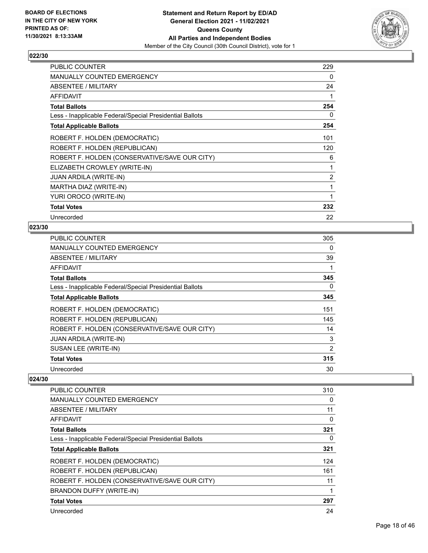

| <b>PUBLIC COUNTER</b>                                    | 229 |
|----------------------------------------------------------|-----|
| MANUALLY COUNTED EMERGENCY                               | 0   |
| ABSENTEE / MILITARY                                      | 24  |
| <b>AFFIDAVIT</b>                                         | 1   |
| <b>Total Ballots</b>                                     | 254 |
| Less - Inapplicable Federal/Special Presidential Ballots | 0   |
| <b>Total Applicable Ballots</b>                          | 254 |
| ROBERT F. HOLDEN (DEMOCRATIC)                            | 101 |
| ROBERT F. HOLDEN (REPUBLICAN)                            | 120 |
| ROBERT F. HOLDEN (CONSERVATIVE/SAVE OUR CITY)            | 6   |
| ELIZABETH CROWLEY (WRITE-IN)                             | 1   |
| <b>JUAN ARDILA (WRITE-IN)</b>                            | 2   |
| MARTHA DIAZ (WRITE-IN)                                   | 1   |
| YURI OROCO (WRITE-IN)                                    | 1   |
| <b>Total Votes</b>                                       | 232 |
| Unrecorded                                               | 22  |

## **023/30**

| <b>PUBLIC COUNTER</b>                                    | 305 |
|----------------------------------------------------------|-----|
| <b>MANUALLY COUNTED EMERGENCY</b>                        | 0   |
| ABSENTEE / MILITARY                                      | 39  |
| AFFIDAVIT                                                | 1   |
| <b>Total Ballots</b>                                     | 345 |
| Less - Inapplicable Federal/Special Presidential Ballots | 0   |
| <b>Total Applicable Ballots</b>                          | 345 |
| ROBERT F. HOLDEN (DEMOCRATIC)                            | 151 |
| ROBERT F. HOLDEN (REPUBLICAN)                            | 145 |
| ROBERT F. HOLDEN (CONSERVATIVE/SAVE OUR CITY)            | 14  |
| <b>JUAN ARDILA (WRITE-IN)</b>                            | 3   |
| SUSAN LEE (WRITE-IN)                                     | 2   |
| <b>Total Votes</b>                                       | 315 |
| Unrecorded                                               | 30  |

| PUBLIC COUNTER                                           | 310 |
|----------------------------------------------------------|-----|
| <b>MANUALLY COUNTED EMERGENCY</b>                        | 0   |
| ABSENTEE / MILITARY                                      | 11  |
| AFFIDAVIT                                                | 0   |
| <b>Total Ballots</b>                                     | 321 |
| Less - Inapplicable Federal/Special Presidential Ballots | 0   |
| <b>Total Applicable Ballots</b>                          | 321 |
| ROBERT F. HOLDEN (DEMOCRATIC)                            | 124 |
| ROBERT F. HOLDEN (REPUBLICAN)                            | 161 |
| ROBERT F. HOLDEN (CONSERVATIVE/SAVE OUR CITY)            | 11  |
| <b>BRANDON DUFFY (WRITE-IN)</b>                          |     |
| <b>Total Votes</b>                                       | 297 |
| Unrecorded                                               | 24  |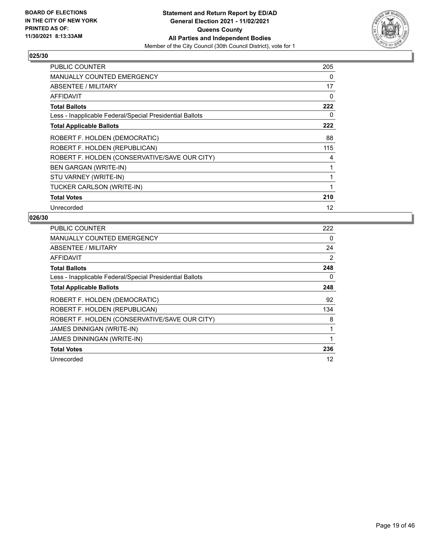

| <b>PUBLIC COUNTER</b>                                    | 205 |
|----------------------------------------------------------|-----|
| <b>MANUALLY COUNTED EMERGENCY</b>                        | 0   |
| <b>ABSENTEE / MILITARY</b>                               | 17  |
| <b>AFFIDAVIT</b>                                         | 0   |
| <b>Total Ballots</b>                                     | 222 |
| Less - Inapplicable Federal/Special Presidential Ballots | 0   |
| <b>Total Applicable Ballots</b>                          | 222 |
| ROBERT F. HOLDEN (DEMOCRATIC)                            | 88  |
| ROBERT F. HOLDEN (REPUBLICAN)                            | 115 |
| ROBERT F. HOLDEN (CONSERVATIVE/SAVE OUR CITY)            | 4   |
| <b>BEN GARGAN (WRITE-IN)</b>                             | 1   |
| STU VARNEY (WRITE-IN)                                    | 1   |
| TUCKER CARLSON (WRITE-IN)                                | 1   |
| <b>Total Votes</b>                                       | 210 |
| Unrecorded                                               | 12  |

| <b>PUBLIC COUNTER</b>                                    | 222 |
|----------------------------------------------------------|-----|
| <b>MANUALLY COUNTED EMERGENCY</b>                        | 0   |
| <b>ABSENTEE / MILITARY</b>                               | 24  |
| AFFIDAVIT                                                | 2   |
| <b>Total Ballots</b>                                     | 248 |
| Less - Inapplicable Federal/Special Presidential Ballots | 0   |
| <b>Total Applicable Ballots</b>                          | 248 |
| ROBERT F. HOLDEN (DEMOCRATIC)                            | 92  |
| ROBERT F. HOLDEN (REPUBLICAN)                            | 134 |
| ROBERT F. HOLDEN (CONSERVATIVE/SAVE OUR CITY)            | 8   |
| JAMES DINNIGAN (WRITE-IN)                                |     |
|                                                          |     |
| <b>JAMES DINNINGAN (WRITE-IN)</b>                        |     |
| <b>Total Votes</b>                                       | 236 |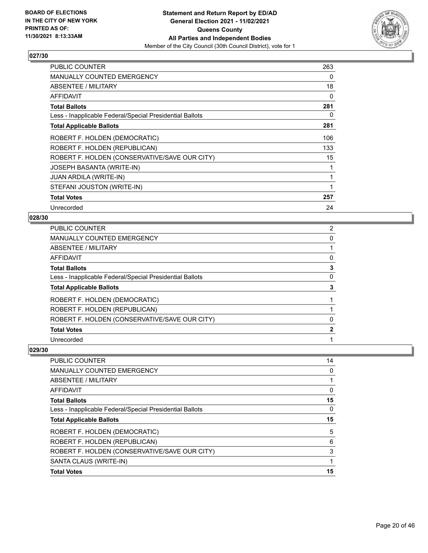

| <b>PUBLIC COUNTER</b>                                    | 263      |
|----------------------------------------------------------|----------|
| <b>MANUALLY COUNTED EMERGENCY</b>                        | 0        |
| ABSENTEE / MILITARY                                      | 18       |
| AFFIDAVIT                                                | $\Omega$ |
| <b>Total Ballots</b>                                     | 281      |
| Less - Inapplicable Federal/Special Presidential Ballots | 0        |
| <b>Total Applicable Ballots</b>                          | 281      |
| ROBERT F. HOLDEN (DEMOCRATIC)                            | 106      |
| ROBERT F. HOLDEN (REPUBLICAN)                            | 133      |
| ROBERT F. HOLDEN (CONSERVATIVE/SAVE OUR CITY)            | 15       |
| JOSEPH BASANTA (WRITE-IN)                                | 1        |
| JUAN ARDILA (WRITE-IN)                                   | 1        |
| STEFANI JOUSTON (WRITE-IN)                               | 1        |
| <b>Total Votes</b>                                       | 257      |
| Unrecorded                                               | 24       |

#### **028/30**

| PUBLIC COUNTER                                           | 2            |
|----------------------------------------------------------|--------------|
| <b>MANUALLY COUNTED EMERGENCY</b>                        | 0            |
| ABSENTEE / MILITARY                                      |              |
| AFFIDAVIT                                                | 0            |
| <b>Total Ballots</b>                                     | 3            |
| Less - Inapplicable Federal/Special Presidential Ballots | 0            |
| <b>Total Applicable Ballots</b>                          | 3            |
| ROBERT F. HOLDEN (DEMOCRATIC)                            |              |
| ROBERT F. HOLDEN (REPUBLICAN)                            |              |
| ROBERT F. HOLDEN (CONSERVATIVE/SAVE OUR CITY)            | 0            |
| <b>Total Votes</b>                                       | $\mathbf{2}$ |
| Unrecorded                                               |              |

| <b>PUBLIC COUNTER</b>                                    | 14       |
|----------------------------------------------------------|----------|
| <b>MANUALLY COUNTED EMERGENCY</b>                        | 0        |
| <b>ABSENTEE / MILITARY</b>                               |          |
| AFFIDAVIT                                                | $\Omega$ |
| <b>Total Ballots</b>                                     | 15       |
| Less - Inapplicable Federal/Special Presidential Ballots | 0        |
| <b>Total Applicable Ballots</b>                          | 15       |
| ROBERT F. HOLDEN (DEMOCRATIC)                            | 5        |
| ROBERT F. HOLDEN (REPUBLICAN)                            | 6        |
|                                                          |          |
| ROBERT F. HOLDEN (CONSERVATIVE/SAVE OUR CITY)            | 3        |
| SANTA CLAUS (WRITE-IN)                                   |          |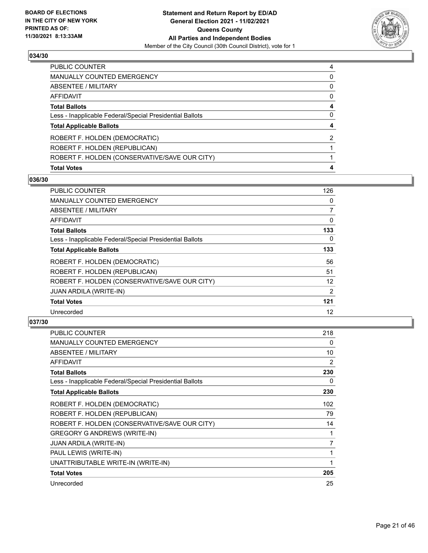

| PUBLIC COUNTER                                           | 4        |
|----------------------------------------------------------|----------|
| <b>MANUALLY COUNTED EMERGENCY</b>                        | 0        |
| ABSENTEE / MILITARY                                      | 0        |
| AFFIDAVIT                                                | $\Omega$ |
| <b>Total Ballots</b>                                     | 4        |
| Less - Inapplicable Federal/Special Presidential Ballots | 0        |
| <b>Total Applicable Ballots</b>                          |          |
| ROBERT F. HOLDEN (DEMOCRATIC)                            | 2        |
| ROBERT F. HOLDEN (REPUBLICAN)                            |          |
| ROBERT F. HOLDEN (CONSERVATIVE/SAVE OUR CITY)            |          |
| <b>Total Votes</b>                                       |          |

# **036/30**

| PUBLIC COUNTER                                           | 126            |
|----------------------------------------------------------|----------------|
| <b>MANUALLY COUNTED EMERGENCY</b>                        | 0              |
| ABSENTEE / MILITARY                                      | $\overline{7}$ |
| AFFIDAVIT                                                | 0              |
| <b>Total Ballots</b>                                     | 133            |
| Less - Inapplicable Federal/Special Presidential Ballots | 0              |
| <b>Total Applicable Ballots</b>                          | 133            |
| ROBERT F. HOLDEN (DEMOCRATIC)                            | 56             |
| ROBERT F. HOLDEN (REPUBLICAN)                            | 51             |
| ROBERT F. HOLDEN (CONSERVATIVE/SAVE OUR CITY)            | 12             |
| <b>JUAN ARDILA (WRITE-IN)</b>                            | 2              |
| <b>Total Votes</b>                                       | 121            |
| Unrecorded                                               | 12             |

| <b>PUBLIC COUNTER</b>                                    | 218      |
|----------------------------------------------------------|----------|
| MANUALLY COUNTED EMERGENCY                               | $\Omega$ |
| ABSENTEE / MILITARY                                      | 10       |
| AFFIDAVIT                                                | 2        |
| <b>Total Ballots</b>                                     | 230      |
| Less - Inapplicable Federal/Special Presidential Ballots | 0        |
| <b>Total Applicable Ballots</b>                          | 230      |
| ROBERT F. HOLDEN (DEMOCRATIC)                            | 102      |
| ROBERT F. HOLDEN (REPUBLICAN)                            | 79       |
| ROBERT F. HOLDEN (CONSERVATIVE/SAVE OUR CITY)            | 14       |
| <b>GREGORY G ANDREWS (WRITE-IN)</b>                      | 1        |
| <b>JUAN ARDILA (WRITE-IN)</b>                            | 7        |
| PAUL LEWIS (WRITE-IN)                                    | 1        |
| UNATTRIBUTABLE WRITE-IN (WRITE-IN)                       | 1        |
| <b>Total Votes</b>                                       | 205      |
| Unrecorded                                               | 25       |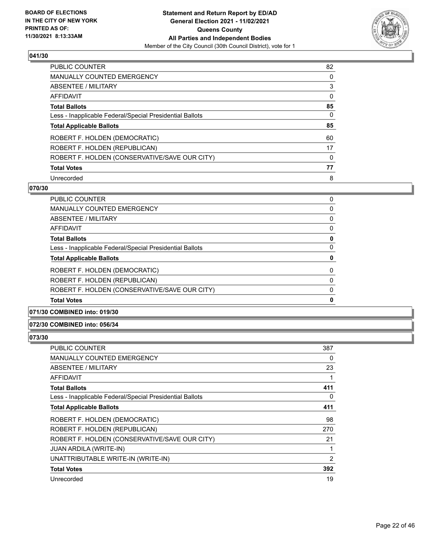

| PUBLIC COUNTER                                           | 82 |
|----------------------------------------------------------|----|
| <b>MANUALLY COUNTED EMERGENCY</b>                        | 0  |
| ABSENTEE / MILITARY                                      | 3  |
| AFFIDAVIT                                                | 0  |
| <b>Total Ballots</b>                                     | 85 |
| Less - Inapplicable Federal/Special Presidential Ballots | 0  |
| <b>Total Applicable Ballots</b>                          | 85 |
| ROBERT F. HOLDEN (DEMOCRATIC)                            | 60 |
| ROBERT F. HOLDEN (REPUBLICAN)                            | 17 |
| ROBERT F. HOLDEN (CONSERVATIVE/SAVE OUR CITY)            | 0  |
| <b>Total Votes</b>                                       | 77 |
| Unrecorded                                               | 8  |

#### **070/30**

| PUBLIC COUNTER                                           | 0        |
|----------------------------------------------------------|----------|
| <b>MANUALLY COUNTED EMERGENCY</b>                        | 0        |
| ABSENTEE / MILITARY                                      | $\Omega$ |
| AFFIDAVIT                                                | 0        |
| <b>Total Ballots</b>                                     | 0        |
| Less - Inapplicable Federal/Special Presidential Ballots | 0        |
| <b>Total Applicable Ballots</b>                          | 0        |
| ROBERT F. HOLDEN (DEMOCRATIC)                            | $\Omega$ |
| ROBERT F. HOLDEN (REPUBLICAN)                            | $\Omega$ |
| ROBERT F. HOLDEN (CONSERVATIVE/SAVE OUR CITY)            | 0        |
| <b>Total Votes</b>                                       | 0        |

#### **071/30 COMBINED into: 019/30**

#### **072/30 COMBINED into: 056/34**

| PUBLIC COUNTER                                           | 387 |
|----------------------------------------------------------|-----|
| MANUALLY COUNTED EMERGENCY                               | 0   |
| ABSENTEE / MILITARY                                      | 23  |
| AFFIDAVIT                                                |     |
| <b>Total Ballots</b>                                     | 411 |
| Less - Inapplicable Federal/Special Presidential Ballots | 0   |
| <b>Total Applicable Ballots</b>                          | 411 |
| ROBERT F. HOLDEN (DEMOCRATIC)                            | 98  |
| ROBERT F. HOLDEN (REPUBLICAN)                            | 270 |
| ROBERT F. HOLDEN (CONSERVATIVE/SAVE OUR CITY)            | 21  |
| <b>JUAN ARDILA (WRITE-IN)</b>                            |     |
| UNATTRIBUTABLE WRITE-IN (WRITE-IN)                       | 2   |
| <b>Total Votes</b>                                       | 392 |
| Unrecorded                                               | 19  |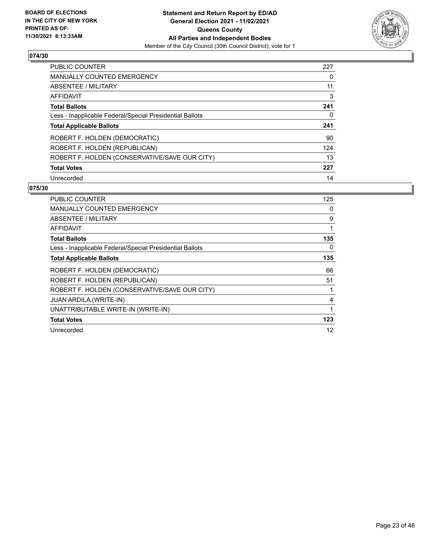

| <b>PUBLIC COUNTER</b>                                    | 227 |
|----------------------------------------------------------|-----|
| <b>MANUALLY COUNTED EMERGENCY</b>                        | 0   |
| ABSENTEE / MILITARY                                      | 11  |
| AFFIDAVIT                                                | 3   |
| <b>Total Ballots</b>                                     | 241 |
| Less - Inapplicable Federal/Special Presidential Ballots | 0   |
| <b>Total Applicable Ballots</b>                          | 241 |
| ROBERT F. HOLDEN (DEMOCRATIC)                            | 90  |
| ROBERT F. HOLDEN (REPUBLICAN)                            | 124 |
| ROBERT F. HOLDEN (CONSERVATIVE/SAVE OUR CITY)            | 13  |
| <b>Total Votes</b>                                       | 227 |
| Unrecorded                                               | 14  |

| <b>PUBLIC COUNTER</b>                                    | 125 |
|----------------------------------------------------------|-----|
| MANUALLY COUNTED EMERGENCY                               | 0   |
| ABSENTEE / MILITARY                                      | 9   |
| AFFIDAVIT                                                | 1   |
| <b>Total Ballots</b>                                     | 135 |
| Less - Inapplicable Federal/Special Presidential Ballots | 0   |
| <b>Total Applicable Ballots</b>                          | 135 |
| ROBERT F. HOLDEN (DEMOCRATIC)                            | 66  |
| ROBERT F. HOLDEN (REPUBLICAN)                            | 51  |
| ROBERT F. HOLDEN (CONSERVATIVE/SAVE OUR CITY)            | 1   |
| <b>JUAN ARDILA (WRITE-IN)</b>                            | 4   |
| UNATTRIBUTABLE WRITE-IN (WRITE-IN)                       | 1   |
| <b>Total Votes</b>                                       | 123 |
| Unrecorded                                               | 12  |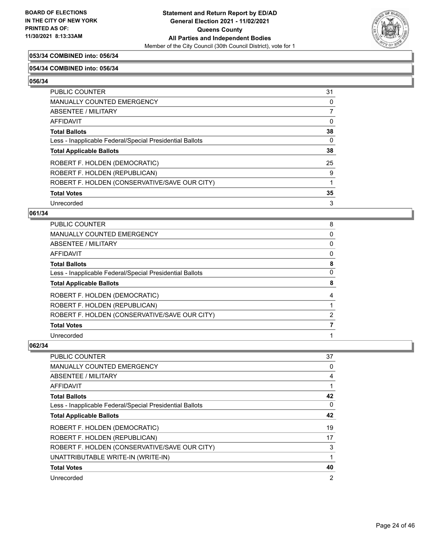

# **053/34 COMBINED into: 056/34**

#### **054/34 COMBINED into: 056/34**

**056/34** 

| <b>PUBLIC COUNTER</b>                                    | 31       |
|----------------------------------------------------------|----------|
| <b>MANUALLY COUNTED EMERGENCY</b>                        | 0        |
| <b>ABSENTEE / MILITARY</b>                               | 7        |
| AFFIDAVIT                                                | $\Omega$ |
| <b>Total Ballots</b>                                     | 38       |
| Less - Inapplicable Federal/Special Presidential Ballots | 0        |
| <b>Total Applicable Ballots</b>                          | 38       |
| ROBERT F. HOLDEN (DEMOCRATIC)                            | 25       |
| ROBERT F. HOLDEN (REPUBLICAN)                            | 9        |
| ROBERT F. HOLDEN (CONSERVATIVE/SAVE OUR CITY)            |          |
| <b>Total Votes</b>                                       | 35       |
| Unrecorded                                               | 3        |

#### **061/34**

| PUBLIC COUNTER                                           | 8              |
|----------------------------------------------------------|----------------|
| <b>MANUALLY COUNTED EMERGENCY</b>                        | 0              |
| <b>ABSENTEE / MILITARY</b>                               | 0              |
| <b>AFFIDAVIT</b>                                         | 0              |
| <b>Total Ballots</b>                                     | 8              |
| Less - Inapplicable Federal/Special Presidential Ballots | 0              |
| <b>Total Applicable Ballots</b>                          | 8              |
| ROBERT F. HOLDEN (DEMOCRATIC)                            | 4              |
| ROBERT F. HOLDEN (REPUBLICAN)                            |                |
| ROBERT F. HOLDEN (CONSERVATIVE/SAVE OUR CITY)            | $\overline{2}$ |
| <b>Total Votes</b>                                       |                |
| Unrecorded                                               |                |

| PUBLIC COUNTER                                           | 37             |
|----------------------------------------------------------|----------------|
| MANUALLY COUNTED EMERGENCY                               | 0              |
| ABSENTEE / MILITARY                                      | 4              |
| AFFIDAVIT                                                |                |
| <b>Total Ballots</b>                                     | 42             |
| Less - Inapplicable Federal/Special Presidential Ballots | 0              |
| <b>Total Applicable Ballots</b>                          | 42             |
| ROBERT F. HOLDEN (DEMOCRATIC)                            | 19             |
| ROBERT F. HOLDEN (REPUBLICAN)                            | 17             |
| ROBERT F. HOLDEN (CONSERVATIVE/SAVE OUR CITY)            | 3              |
| UNATTRIBUTABLE WRITE-IN (WRITE-IN)                       |                |
| <b>Total Votes</b>                                       | 40             |
| Unrecorded                                               | $\overline{2}$ |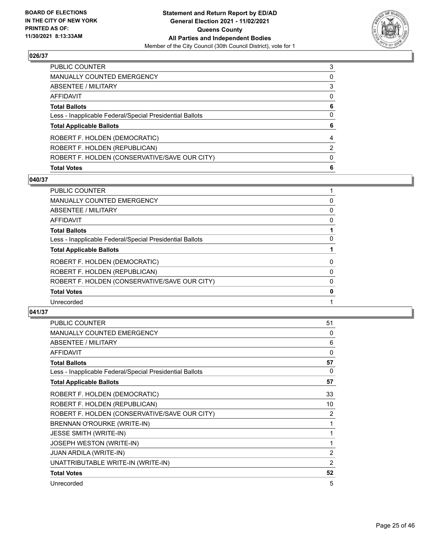

| PUBLIC COUNTER                                           | 3 |
|----------------------------------------------------------|---|
| <b>MANUALLY COUNTED EMERGENCY</b>                        | 0 |
| ABSENTEE / MILITARY                                      | 3 |
| AFFIDAVIT                                                | 0 |
| <b>Total Ballots</b>                                     | 6 |
| Less - Inapplicable Federal/Special Presidential Ballots | 0 |
| <b>Total Applicable Ballots</b>                          | 6 |
| ROBERT F. HOLDEN (DEMOCRATIC)                            | 4 |
| ROBERT F. HOLDEN (REPUBLICAN)                            | 2 |
| ROBERT F. HOLDEN (CONSERVATIVE/SAVE OUR CITY)            | 0 |
| <b>Total Votes</b>                                       | 6 |

# **040/37**

| <b>PUBLIC COUNTER</b>                                    |          |
|----------------------------------------------------------|----------|
| <b>MANUALLY COUNTED EMERGENCY</b>                        | 0        |
| <b>ABSENTEE / MILITARY</b>                               | 0        |
| <b>AFFIDAVIT</b>                                         | 0        |
| <b>Total Ballots</b>                                     |          |
| Less - Inapplicable Federal/Special Presidential Ballots | $\Omega$ |
| <b>Total Applicable Ballots</b>                          |          |
| ROBERT F. HOLDEN (DEMOCRATIC)                            | 0        |
| ROBERT F. HOLDEN (REPUBLICAN)                            | 0        |
| ROBERT F. HOLDEN (CONSERVATIVE/SAVE OUR CITY)            | 0        |
| <b>Total Votes</b>                                       | 0        |
| Unrecorded                                               |          |
|                                                          |          |

| <b>PUBLIC COUNTER</b>                                    | 51             |
|----------------------------------------------------------|----------------|
| MANUALLY COUNTED EMERGENCY                               | 0              |
| ABSENTEE / MILITARY                                      | 6              |
| <b>AFFIDAVIT</b>                                         | 0              |
| <b>Total Ballots</b>                                     | 57             |
| Less - Inapplicable Federal/Special Presidential Ballots | 0              |
| <b>Total Applicable Ballots</b>                          | 57             |
| ROBERT F. HOLDEN (DEMOCRATIC)                            | 33             |
| ROBERT F. HOLDEN (REPUBLICAN)                            | 10             |
| ROBERT F. HOLDEN (CONSERVATIVE/SAVE OUR CITY)            | 2              |
| BRENNAN O'ROURKE (WRITE-IN)                              | 1              |
| <b>JESSE SMITH (WRITE-IN)</b>                            | 1              |
| JOSEPH WESTON (WRITE-IN)                                 | 1              |
| <b>JUAN ARDILA (WRITE-IN)</b>                            | 2              |
| UNATTRIBUTABLE WRITE-IN (WRITE-IN)                       | $\overline{2}$ |
| <b>Total Votes</b>                                       | 52             |
| Unrecorded                                               | 5              |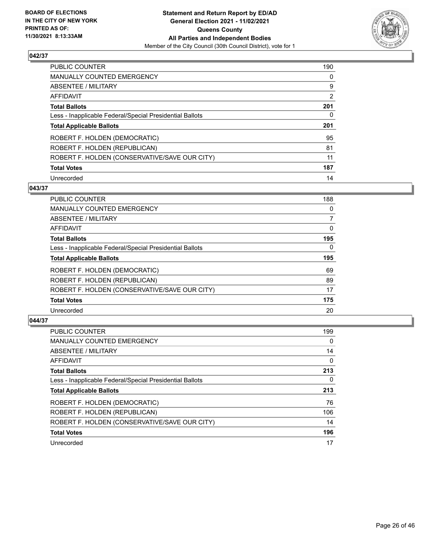

| PUBLIC COUNTER                                           | 190      |
|----------------------------------------------------------|----------|
| MANUALLY COUNTED EMERGENCY                               | $\Omega$ |
| ABSENTEE / MILITARY                                      | 9        |
| AFFIDAVIT                                                | 2        |
| <b>Total Ballots</b>                                     | 201      |
| Less - Inapplicable Federal/Special Presidential Ballots | 0        |
| <b>Total Applicable Ballots</b>                          | 201      |
| ROBERT F. HOLDEN (DEMOCRATIC)                            | 95       |
| ROBERT F. HOLDEN (REPUBLICAN)                            | 81       |
| ROBERT F. HOLDEN (CONSERVATIVE/SAVE OUR CITY)            | 11       |
| <b>Total Votes</b>                                       | 187      |
| Unrecorded                                               | 14       |

#### **043/37**

| <b>PUBLIC COUNTER</b>                                    | 188      |
|----------------------------------------------------------|----------|
| <b>MANUALLY COUNTED EMERGENCY</b>                        | 0        |
| ABSENTEE / MILITARY                                      | 7        |
| <b>AFFIDAVIT</b>                                         | $\Omega$ |
| <b>Total Ballots</b>                                     | 195      |
| Less - Inapplicable Federal/Special Presidential Ballots | $\Omega$ |
| <b>Total Applicable Ballots</b>                          | 195      |
| ROBERT F. HOLDEN (DEMOCRATIC)                            | 69       |
| ROBERT F. HOLDEN (REPUBLICAN)                            | 89       |
| ROBERT F. HOLDEN (CONSERVATIVE/SAVE OUR CITY)            | 17       |
| <b>Total Votes</b>                                       | 175      |
| Unrecorded                                               | 20       |

| <b>PUBLIC COUNTER</b>                                    | 199      |
|----------------------------------------------------------|----------|
| <b>MANUALLY COUNTED EMERGENCY</b>                        | 0        |
| ABSENTEE / MILITARY                                      | 14       |
| <b>AFFIDAVIT</b>                                         | $\Omega$ |
| <b>Total Ballots</b>                                     | 213      |
| Less - Inapplicable Federal/Special Presidential Ballots | 0        |
| <b>Total Applicable Ballots</b>                          | 213      |
| ROBERT F. HOLDEN (DEMOCRATIC)                            | 76       |
| ROBERT F. HOLDEN (REPUBLICAN)                            | 106      |
| ROBERT F. HOLDEN (CONSERVATIVE/SAVE OUR CITY)            | 14       |
| <b>Total Votes</b>                                       | 196      |
| Unrecorded                                               | 17       |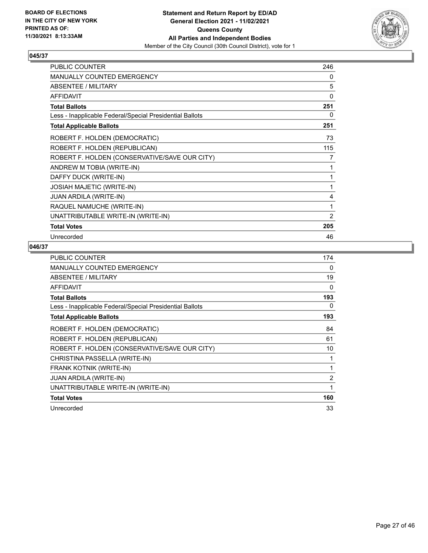

| <b>PUBLIC COUNTER</b>                                    | 246      |
|----------------------------------------------------------|----------|
| MANUALLY COUNTED EMERGENCY                               | 0        |
| ABSENTEE / MILITARY                                      | 5        |
| <b>AFFIDAVIT</b>                                         | $\Omega$ |
| <b>Total Ballots</b>                                     | 251      |
| Less - Inapplicable Federal/Special Presidential Ballots | 0        |
| <b>Total Applicable Ballots</b>                          | 251      |
| ROBERT F. HOLDEN (DEMOCRATIC)                            | 73       |
| ROBERT F. HOLDEN (REPUBLICAN)                            | 115      |
| ROBERT F. HOLDEN (CONSERVATIVE/SAVE OUR CITY)            | 7        |
| ANDREW M TOBIA (WRITE-IN)                                |          |
| DAFFY DUCK (WRITE-IN)                                    |          |
| <b>JOSIAH MAJETIC (WRITE-IN)</b>                         | 1        |
| <b>JUAN ARDILA (WRITE-IN)</b>                            | 4        |
| RAQUEL NAMUCHE (WRITE-IN)                                | 1        |
| UNATTRIBUTABLE WRITE-IN (WRITE-IN)                       | 2        |
| <b>Total Votes</b>                                       | 205      |
| Unrecorded                                               | 46       |

| <b>PUBLIC COUNTER</b>                                    | 174            |
|----------------------------------------------------------|----------------|
| MANUALLY COUNTED EMERGENCY                               | 0              |
| ABSENTEE / MILITARY                                      | 19             |
| <b>AFFIDAVIT</b>                                         | 0              |
| <b>Total Ballots</b>                                     | 193            |
| Less - Inapplicable Federal/Special Presidential Ballots | 0              |
| <b>Total Applicable Ballots</b>                          | 193            |
| ROBERT F. HOLDEN (DEMOCRATIC)                            | 84             |
| ROBERT F. HOLDEN (REPUBLICAN)                            | 61             |
| ROBERT F. HOLDEN (CONSERVATIVE/SAVE OUR CITY)            | 10             |
| CHRISTINA PASSELLA (WRITE-IN)                            |                |
| <b>FRANK KOTNIK (WRITE-IN)</b>                           | 1              |
| <b>JUAN ARDILA (WRITE-IN)</b>                            | $\overline{2}$ |
| UNATTRIBUTABLE WRITE-IN (WRITE-IN)                       | 1              |
| <b>Total Votes</b>                                       | 160            |
| Unrecorded                                               | 33             |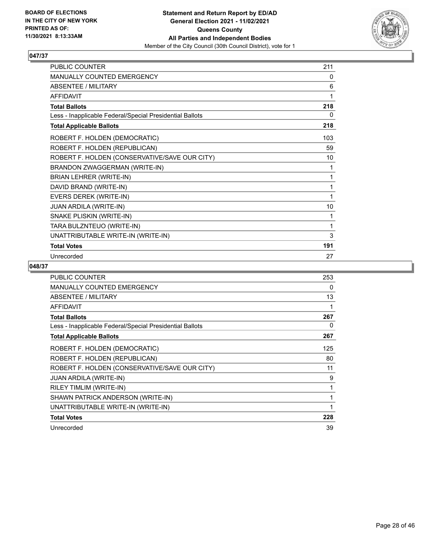

| <b>PUBLIC COUNTER</b>                                    | 211 |
|----------------------------------------------------------|-----|
| MANUALLY COUNTED EMERGENCY                               | 0   |
| <b>ABSENTEE / MILITARY</b>                               | 6   |
| <b>AFFIDAVIT</b>                                         | 1   |
| <b>Total Ballots</b>                                     | 218 |
| Less - Inapplicable Federal/Special Presidential Ballots | 0   |
| <b>Total Applicable Ballots</b>                          | 218 |
| ROBERT F. HOLDEN (DEMOCRATIC)                            | 103 |
| ROBERT F. HOLDEN (REPUBLICAN)                            | 59  |
| ROBERT F. HOLDEN (CONSERVATIVE/SAVE OUR CITY)            | 10  |
| BRANDON ZWAGGERMAN (WRITE-IN)                            | 1   |
| BRIAN LEHRER (WRITE-IN)                                  | 1   |
| DAVID BRAND (WRITE-IN)                                   | 1   |
| EVERS DEREK (WRITE-IN)                                   | 1   |
| <b>JUAN ARDILA (WRITE-IN)</b>                            | 10  |
| SNAKE PLISKIN (WRITE-IN)                                 | 1   |
| TARA BULZNTEUO (WRITE-IN)                                | 1   |
| UNATTRIBUTABLE WRITE-IN (WRITE-IN)                       | 3   |
| <b>Total Votes</b>                                       | 191 |
| Unrecorded                                               | 27  |

| <b>PUBLIC COUNTER</b>                                    | 253 |
|----------------------------------------------------------|-----|
|                                                          |     |
| <b>MANUALLY COUNTED EMERGENCY</b>                        | 0   |
| <b>ABSENTEE / MILITARY</b>                               | 13  |
| <b>AFFIDAVIT</b>                                         |     |
| <b>Total Ballots</b>                                     | 267 |
| Less - Inapplicable Federal/Special Presidential Ballots | 0   |
| <b>Total Applicable Ballots</b>                          | 267 |
| ROBERT F. HOLDEN (DEMOCRATIC)                            | 125 |
| ROBERT F. HOLDEN (REPUBLICAN)                            | 80  |
| ROBERT F. HOLDEN (CONSERVATIVE/SAVE OUR CITY)            | 11  |
| JUAN ARDILA (WRITE-IN)                                   | 9   |
| RILEY TIMLIM (WRITE-IN)                                  | 1   |
| SHAWN PATRICK ANDERSON (WRITE-IN)                        | 1   |
| UNATTRIBUTABLE WRITE-IN (WRITE-IN)                       | 1   |
| <b>Total Votes</b>                                       | 228 |
| Unrecorded                                               | 39  |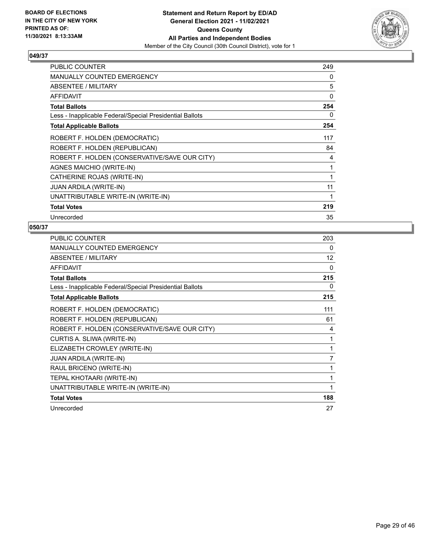

| <b>PUBLIC COUNTER</b>                                    | 249 |
|----------------------------------------------------------|-----|
| <b>MANUALLY COUNTED EMERGENCY</b>                        | 0   |
| ABSENTEE / MILITARY                                      | 5   |
| <b>AFFIDAVIT</b>                                         | 0   |
| <b>Total Ballots</b>                                     | 254 |
| Less - Inapplicable Federal/Special Presidential Ballots | 0   |
| <b>Total Applicable Ballots</b>                          | 254 |
| ROBERT F. HOLDEN (DEMOCRATIC)                            | 117 |
| ROBERT F. HOLDEN (REPUBLICAN)                            | 84  |
| ROBERT F. HOLDEN (CONSERVATIVE/SAVE OUR CITY)            | 4   |
| AGNES MAICHIO (WRITE-IN)                                 | 1   |
| CATHERINE ROJAS (WRITE-IN)                               | 1   |
| <b>JUAN ARDILA (WRITE-IN)</b>                            | 11  |
| UNATTRIBUTABLE WRITE-IN (WRITE-IN)                       | 1   |
| <b>Total Votes</b>                                       | 219 |
| Unrecorded                                               | 35  |

| <b>PUBLIC COUNTER</b>                                    | 203          |
|----------------------------------------------------------|--------------|
| MANUALLY COUNTED EMERGENCY                               | 0            |
| ABSENTEE / MILITARY                                      | 12           |
| <b>AFFIDAVIT</b>                                         | $\mathbf{0}$ |
| <b>Total Ballots</b>                                     | 215          |
| Less - Inapplicable Federal/Special Presidential Ballots | 0            |
| <b>Total Applicable Ballots</b>                          | 215          |
| ROBERT F. HOLDEN (DEMOCRATIC)                            | 111          |
| ROBERT F. HOLDEN (REPUBLICAN)                            | 61           |
| ROBERT F. HOLDEN (CONSERVATIVE/SAVE OUR CITY)            | 4            |
| CURTIS A. SLIWA (WRITE-IN)                               | 1            |
| ELIZABETH CROWLEY (WRITE-IN)                             |              |
| <b>JUAN ARDILA (WRITE-IN)</b>                            | 7            |
| RAUL BRICENO (WRITE-IN)                                  | 1            |
| TEPAL KHOTAARI (WRITE-IN)                                | 1            |
| UNATTRIBUTABLE WRITE-IN (WRITE-IN)                       | 1            |
| <b>Total Votes</b>                                       | 188          |
| Unrecorded                                               | 27           |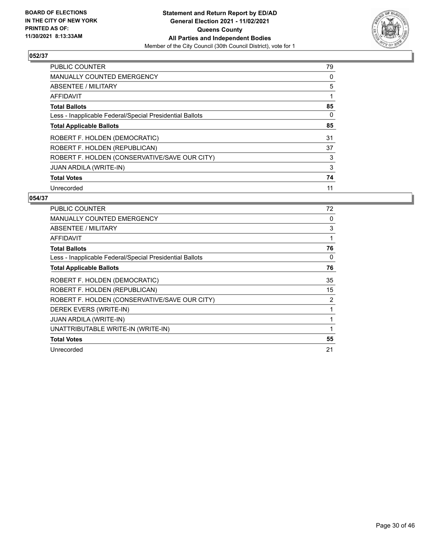

| <b>PUBLIC COUNTER</b>                                    | 79 |
|----------------------------------------------------------|----|
| MANUALLY COUNTED EMERGENCY                               | 0  |
| ABSENTEE / MILITARY                                      | 5  |
| <b>AFFIDAVIT</b>                                         |    |
| <b>Total Ballots</b>                                     | 85 |
| Less - Inapplicable Federal/Special Presidential Ballots | 0  |
| <b>Total Applicable Ballots</b>                          | 85 |
| ROBERT F. HOLDEN (DEMOCRATIC)                            | 31 |
| ROBERT F. HOLDEN (REPUBLICAN)                            | 37 |
| ROBERT F. HOLDEN (CONSERVATIVE/SAVE OUR CITY)            | 3  |
| <b>JUAN ARDILA (WRITE-IN)</b>                            | 3  |
| <b>Total Votes</b>                                       | 74 |
| Unrecorded                                               | 11 |

| <b>PUBLIC COUNTER</b>                                    | 72 |
|----------------------------------------------------------|----|
| <b>MANUALLY COUNTED EMERGENCY</b>                        | 0  |
| <b>ABSENTEE / MILITARY</b>                               | 3  |
| AFFIDAVIT                                                | 1  |
| <b>Total Ballots</b>                                     | 76 |
| Less - Inapplicable Federal/Special Presidential Ballots | 0  |
| <b>Total Applicable Ballots</b>                          | 76 |
| ROBERT F. HOLDEN (DEMOCRATIC)                            | 35 |
| ROBERT F. HOLDEN (REPUBLICAN)                            | 15 |
| ROBERT F. HOLDEN (CONSERVATIVE/SAVE OUR CITY)            | 2  |
| DEREK EVERS (WRITE-IN)                                   | 1  |
| <b>JUAN ARDILA (WRITE-IN)</b>                            | 1  |
| UNATTRIBUTABLE WRITE-IN (WRITE-IN)                       | 1  |
| <b>Total Votes</b>                                       | 55 |
| Unrecorded                                               | 21 |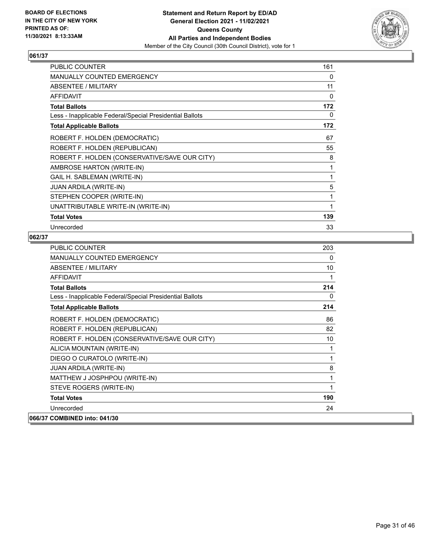

| <b>PUBLIC COUNTER</b>                                    | 161      |
|----------------------------------------------------------|----------|
| MANUALLY COUNTED EMERGENCY                               | 0        |
| <b>ABSENTEE / MILITARY</b>                               | 11       |
| <b>AFFIDAVIT</b>                                         | $\Omega$ |
| <b>Total Ballots</b>                                     | 172      |
| Less - Inapplicable Federal/Special Presidential Ballots | 0        |
| <b>Total Applicable Ballots</b>                          | 172      |
| ROBERT F. HOLDEN (DEMOCRATIC)                            | 67       |
| ROBERT F. HOLDEN (REPUBLICAN)                            | 55       |
| ROBERT F. HOLDEN (CONSERVATIVE/SAVE OUR CITY)            | 8        |
| AMBROSE HARTON (WRITE-IN)                                | 1        |
| GAIL H. SABLEMAN (WRITE-IN)                              | 1        |
| <b>JUAN ARDILA (WRITE-IN)</b>                            | 5        |
| STEPHEN COOPER (WRITE-IN)                                | 1        |
| UNATTRIBUTABLE WRITE-IN (WRITE-IN)                       | 1        |
| <b>Total Votes</b>                                       | 139      |
| Unrecorded                                               | 33       |

| <b>PUBLIC COUNTER</b>                                    | 203 |
|----------------------------------------------------------|-----|
| <b>MANUALLY COUNTED EMERGENCY</b>                        | 0   |
| ABSENTEE / MILITARY                                      | 10  |
| <b>AFFIDAVIT</b>                                         | 1   |
| <b>Total Ballots</b>                                     | 214 |
| Less - Inapplicable Federal/Special Presidential Ballots | 0   |
| <b>Total Applicable Ballots</b>                          | 214 |
| ROBERT F. HOLDEN (DEMOCRATIC)                            | 86  |
| ROBERT F. HOLDEN (REPUBLICAN)                            | 82  |
| ROBERT F. HOLDEN (CONSERVATIVE/SAVE OUR CITY)            | 10  |
| ALICIA MOUNTAIN (WRITE-IN)                               | 1   |
| DIEGO O CURATOLO (WRITE-IN)                              | 1   |
| <b>JUAN ARDILA (WRITE-IN)</b>                            | 8   |
| MATTHEW J JOSPHPOU (WRITE-IN)                            | 1   |
| STEVE ROGERS (WRITE-IN)                                  | 1   |
| <b>Total Votes</b>                                       | 190 |
| Unrecorded                                               | 24  |
| 066/37 COMBINED into: 041/30                             |     |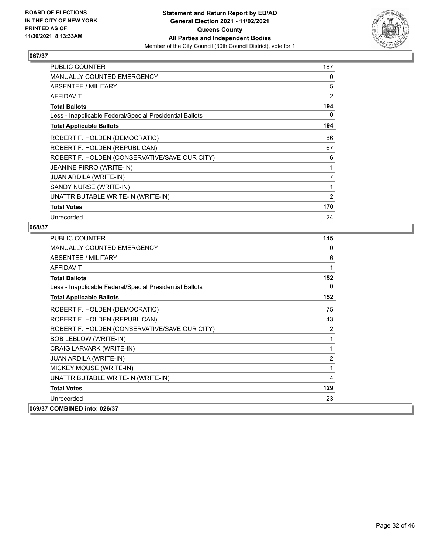

| PUBLIC COUNTER                                           | 187            |
|----------------------------------------------------------|----------------|
| MANUALLY COUNTED EMERGENCY                               | 0              |
| <b>ABSENTEE / MILITARY</b>                               | 5              |
| <b>AFFIDAVIT</b>                                         | $\overline{2}$ |
| <b>Total Ballots</b>                                     | 194            |
| Less - Inapplicable Federal/Special Presidential Ballots | 0              |
| <b>Total Applicable Ballots</b>                          | 194            |
| ROBERT F. HOLDEN (DEMOCRATIC)                            | 86             |
| ROBERT F. HOLDEN (REPUBLICAN)                            | 67             |
| ROBERT F. HOLDEN (CONSERVATIVE/SAVE OUR CITY)            | 6              |
| <b>JEANINE PIRRO (WRITE-IN)</b>                          | 1              |
| <b>JUAN ARDILA (WRITE-IN)</b>                            | 7              |
| SANDY NURSE (WRITE-IN)                                   | 1              |
| UNATTRIBUTABLE WRITE-IN (WRITE-IN)                       | $\overline{2}$ |
| <b>Total Votes</b>                                       | 170            |
| Unrecorded                                               | 24             |

| <b>PUBLIC COUNTER</b>                                    | 145            |
|----------------------------------------------------------|----------------|
| <b>MANUALLY COUNTED EMERGENCY</b>                        | $\Omega$       |
| ABSENTEE / MILITARY                                      | 6              |
| <b>AFFIDAVIT</b>                                         | 1              |
| <b>Total Ballots</b>                                     | 152            |
| Less - Inapplicable Federal/Special Presidential Ballots | 0              |
| <b>Total Applicable Ballots</b>                          | 152            |
| ROBERT F. HOLDEN (DEMOCRATIC)                            | 75             |
| ROBERT F. HOLDEN (REPUBLICAN)                            | 43             |
| ROBERT F. HOLDEN (CONSERVATIVE/SAVE OUR CITY)            | 2              |
| <b>BOB LEBLOW (WRITE-IN)</b>                             | 1              |
| CRAIG LARVARK (WRITE-IN)                                 | 1              |
| <b>JUAN ARDILA (WRITE-IN)</b>                            | $\overline{2}$ |
| MICKEY MOUSE (WRITE-IN)                                  | 1              |
| UNATTRIBUTABLE WRITE-IN (WRITE-IN)                       | 4              |
| <b>Total Votes</b>                                       | 129            |
| Unrecorded                                               | 23             |
| 069/37 COMBINED into: 026/37                             |                |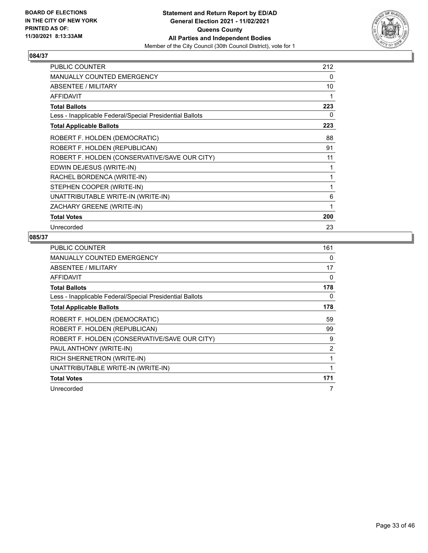

| <b>PUBLIC COUNTER</b>                                    | 212 |
|----------------------------------------------------------|-----|
| MANUALLY COUNTED EMERGENCY                               | 0   |
| <b>ABSENTEE / MILITARY</b>                               | 10  |
| <b>AFFIDAVIT</b>                                         | 1   |
| <b>Total Ballots</b>                                     | 223 |
| Less - Inapplicable Federal/Special Presidential Ballots | 0   |
| <b>Total Applicable Ballots</b>                          | 223 |
| ROBERT F. HOLDEN (DEMOCRATIC)                            | 88  |
| ROBERT F. HOLDEN (REPUBLICAN)                            | 91  |
| ROBERT F. HOLDEN (CONSERVATIVE/SAVE OUR CITY)            | 11  |
| EDWIN DEJESUS (WRITE-IN)                                 | 1   |
| RACHEL BORDENCA (WRITE-IN)                               | 1   |
| STEPHEN COOPER (WRITE-IN)                                | 1   |
| UNATTRIBUTABLE WRITE-IN (WRITE-IN)                       | 6   |
| ZACHARY GREENE (WRITE-IN)                                | 1   |
| <b>Total Votes</b>                                       | 200 |
| Unrecorded                                               | 23  |

| <b>PUBLIC COUNTER</b>                                    | 161 |
|----------------------------------------------------------|-----|
| <b>MANUALLY COUNTED EMERGENCY</b>                        | 0   |
| ABSENTEE / MILITARY                                      | 17  |
| AFFIDAVIT                                                | 0   |
| <b>Total Ballots</b>                                     | 178 |
| Less - Inapplicable Federal/Special Presidential Ballots | 0   |
| <b>Total Applicable Ballots</b>                          | 178 |
| ROBERT F. HOLDEN (DEMOCRATIC)                            | 59  |
| ROBERT F. HOLDEN (REPUBLICAN)                            | 99  |
| ROBERT F. HOLDEN (CONSERVATIVE/SAVE OUR CITY)            | 9   |
| PAUL ANTHONY (WRITE-IN)                                  | 2   |
| RICH SHERNETRON (WRITE-IN)                               | 1   |
| UNATTRIBUTABLE WRITE-IN (WRITE-IN)                       | 1   |
| <b>Total Votes</b>                                       | 171 |
| Unrecorded                                               | 7   |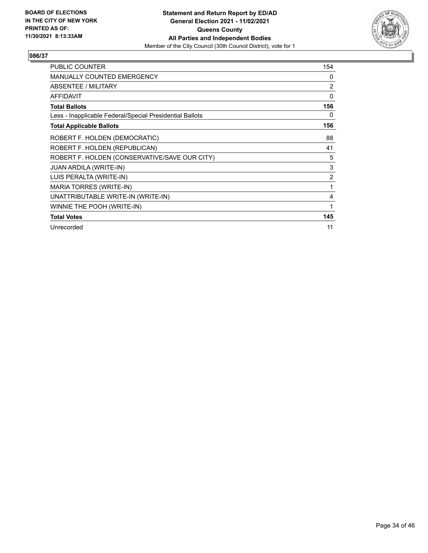

| <b>PUBLIC COUNTER</b>                                    | 154            |
|----------------------------------------------------------|----------------|
| <b>MANUALLY COUNTED EMERGENCY</b>                        | 0              |
| <b>ABSENTEE / MILITARY</b>                               | 2              |
| <b>AFFIDAVIT</b>                                         | $\mathbf{0}$   |
| <b>Total Ballots</b>                                     | 156            |
| Less - Inapplicable Federal/Special Presidential Ballots | 0              |
| <b>Total Applicable Ballots</b>                          | 156            |
| ROBERT F. HOLDEN (DEMOCRATIC)                            | 88             |
| ROBERT F. HOLDEN (REPUBLICAN)                            | 41             |
| ROBERT F. HOLDEN (CONSERVATIVE/SAVE OUR CITY)            | 5              |
| <b>JUAN ARDILA (WRITE-IN)</b>                            | 3              |
| LUIS PERALTA (WRITE-IN)                                  | $\overline{2}$ |
| <b>MARIA TORRES (WRITE-IN)</b>                           | 1              |
| UNATTRIBUTABLE WRITE-IN (WRITE-IN)                       | 4              |
| WINNIE THE POOH (WRITE-IN)                               | 1              |
| <b>Total Votes</b>                                       | 145            |
| Unrecorded                                               | 11             |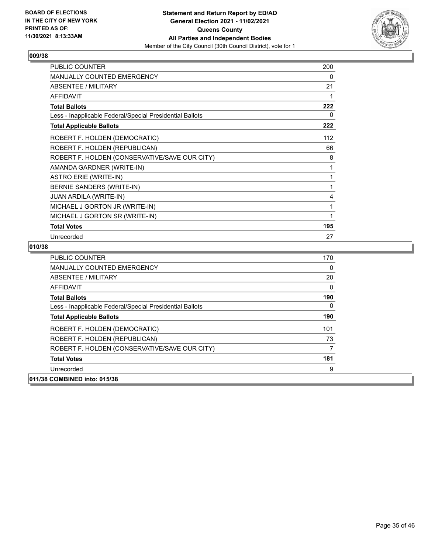

| <b>PUBLIC COUNTER</b>                                    | 200 |
|----------------------------------------------------------|-----|
| MANUALLY COUNTED EMERGENCY                               | 0   |
| <b>ABSENTEE / MILITARY</b>                               | 21  |
| <b>AFFIDAVIT</b>                                         |     |
| <b>Total Ballots</b>                                     | 222 |
| Less - Inapplicable Federal/Special Presidential Ballots | 0   |
| <b>Total Applicable Ballots</b>                          | 222 |
| ROBERT F. HOLDEN (DEMOCRATIC)                            | 112 |
| ROBERT F. HOLDEN (REPUBLICAN)                            | 66  |
| ROBERT F. HOLDEN (CONSERVATIVE/SAVE OUR CITY)            | 8   |
| AMANDA GARDNER (WRITE-IN)                                |     |
| <b>ASTRO ERIE (WRITE-IN)</b>                             |     |
| BERNIE SANDERS (WRITE-IN)                                | 1   |
| <b>JUAN ARDILA (WRITE-IN)</b>                            | 4   |
| MICHAEL J GORTON JR (WRITE-IN)                           | 1   |
| MICHAEL J GORTON SR (WRITE-IN)                           |     |
| <b>Total Votes</b>                                       | 195 |
| Unrecorded                                               | 27  |

| <b>PUBLIC COUNTER</b>                                    | 170 |
|----------------------------------------------------------|-----|
| MANUALLY COUNTED EMERGENCY                               | 0   |
| ABSENTEE / MILITARY                                      | 20  |
| AFFIDAVIT                                                | 0   |
| <b>Total Ballots</b>                                     | 190 |
| Less - Inapplicable Federal/Special Presidential Ballots | 0   |
| <b>Total Applicable Ballots</b>                          | 190 |
| ROBERT F. HOLDEN (DEMOCRATIC)                            | 101 |
| ROBERT F. HOLDEN (REPUBLICAN)                            | 73  |
| ROBERT F. HOLDEN (CONSERVATIVE/SAVE OUR CITY)            |     |
| <b>Total Votes</b>                                       | 181 |
| Unrecorded                                               | 9   |
| 011/38 COMBINED into: 015/38                             |     |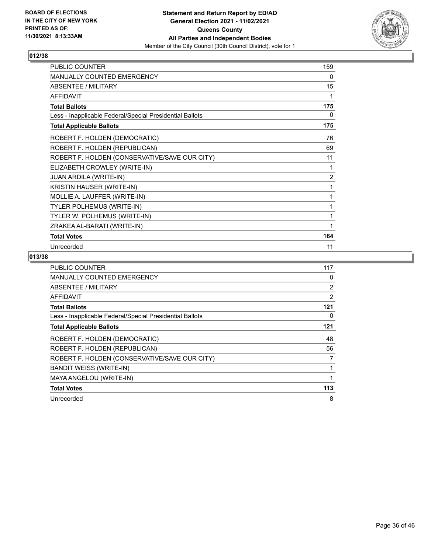

| <b>PUBLIC COUNTER</b>                                    | 159            |
|----------------------------------------------------------|----------------|
| <b>MANUALLY COUNTED EMERGENCY</b>                        | 0              |
| <b>ABSENTEE / MILITARY</b>                               | 15             |
| <b>AFFIDAVIT</b>                                         | 1              |
| <b>Total Ballots</b>                                     | 175            |
| Less - Inapplicable Federal/Special Presidential Ballots | 0              |
| <b>Total Applicable Ballots</b>                          | 175            |
| ROBERT F. HOLDEN (DEMOCRATIC)                            | 76             |
| ROBERT F. HOLDEN (REPUBLICAN)                            | 69             |
| ROBERT F. HOLDEN (CONSERVATIVE/SAVE OUR CITY)            | 11             |
| ELIZABETH CROWLEY (WRITE-IN)                             | 1              |
| JUAN ARDILA (WRITE-IN)                                   | $\overline{2}$ |
| KRISTIN HAUSER (WRITE-IN)                                | 1              |
| MOLLIE A. LAUFFER (WRITE-IN)                             | 1              |
| <b>TYLER POLHEMUS (WRITE-IN)</b>                         | 1              |
| TYLER W. POLHEMUS (WRITE-IN)                             | 1              |
| ZRAKEA AL-BARATI (WRITE-IN)                              | 1              |
| <b>Total Votes</b>                                       | 164            |
| Unrecorded                                               | 11             |

| PUBLIC COUNTER                                           | 117            |
|----------------------------------------------------------|----------------|
| MANUALLY COUNTED EMERGENCY                               | 0              |
| ABSENTEE / MILITARY                                      | $\overline{2}$ |
| <b>AFFIDAVIT</b>                                         | $\overline{2}$ |
| <b>Total Ballots</b>                                     | 121            |
| Less - Inapplicable Federal/Special Presidential Ballots | 0              |
| <b>Total Applicable Ballots</b>                          | 121            |
| ROBERT F. HOLDEN (DEMOCRATIC)                            | 48             |
| ROBERT F. HOLDEN (REPUBLICAN)                            | 56             |
| ROBERT F. HOLDEN (CONSERVATIVE/SAVE OUR CITY)            | 7              |
| <b>BANDIT WEISS (WRITE-IN)</b>                           | 1              |
| MAYA ANGELOU (WRITE-IN)                                  |                |
| <b>Total Votes</b>                                       | 113            |
| Unrecorded                                               | 8              |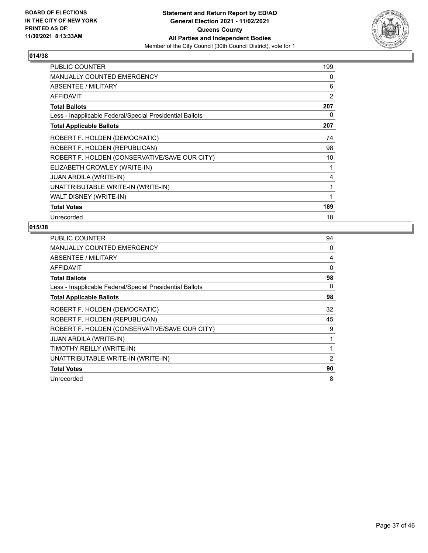

| <b>PUBLIC COUNTER</b>                                    | 199 |
|----------------------------------------------------------|-----|
| <b>MANUALLY COUNTED EMERGENCY</b>                        | 0   |
| ABSENTEE / MILITARY                                      | 6   |
| <b>AFFIDAVIT</b>                                         | 2   |
| <b>Total Ballots</b>                                     | 207 |
| Less - Inapplicable Federal/Special Presidential Ballots | 0   |
| <b>Total Applicable Ballots</b>                          | 207 |
| ROBERT F. HOLDEN (DEMOCRATIC)                            | 74  |
| ROBERT F. HOLDEN (REPUBLICAN)                            | 98  |
| ROBERT F. HOLDEN (CONSERVATIVE/SAVE OUR CITY)            | 10  |
| ELIZABETH CROWLEY (WRITE-IN)                             | 1   |
| <b>JUAN ARDILA (WRITE-IN)</b>                            | 4   |
| UNATTRIBUTABLE WRITE-IN (WRITE-IN)                       | 1   |
| WALT DISNEY (WRITE-IN)                                   | 1   |
| <b>Total Votes</b>                                       | 189 |
| Unrecorded                                               | 18  |

| <b>PUBLIC COUNTER</b>                                    | 94 |
|----------------------------------------------------------|----|
| <b>MANUALLY COUNTED EMERGENCY</b>                        | 0  |
| ABSENTEE / MILITARY                                      | 4  |
| <b>AFFIDAVIT</b>                                         | 0  |
| <b>Total Ballots</b>                                     | 98 |
| Less - Inapplicable Federal/Special Presidential Ballots | 0  |
| <b>Total Applicable Ballots</b>                          | 98 |
| ROBERT F. HOLDEN (DEMOCRATIC)                            | 32 |
| ROBERT F. HOLDEN (REPUBLICAN)                            | 45 |
| ROBERT F. HOLDEN (CONSERVATIVE/SAVE OUR CITY)            | 9  |
| JUAN ARDILA (WRITE-IN)                                   |    |
| TIMOTHY REILLY (WRITE-IN)                                |    |
| UNATTRIBUTABLE WRITE-IN (WRITE-IN)                       | 2  |
| <b>Total Votes</b>                                       | 90 |
| Unrecorded                                               | 8  |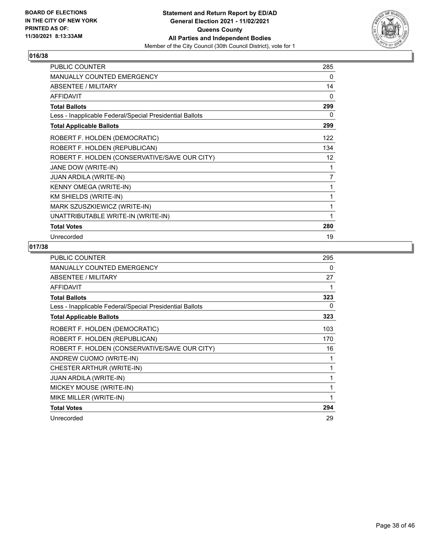

| <b>PUBLIC COUNTER</b>                                    | 285 |
|----------------------------------------------------------|-----|
| <b>MANUALLY COUNTED EMERGENCY</b>                        | 0   |
| <b>ABSENTEE / MILITARY</b>                               | 14  |
| <b>AFFIDAVIT</b>                                         | 0   |
| <b>Total Ballots</b>                                     | 299 |
| Less - Inapplicable Federal/Special Presidential Ballots | 0   |
| <b>Total Applicable Ballots</b>                          | 299 |
| ROBERT F. HOLDEN (DEMOCRATIC)                            | 122 |
| ROBERT F. HOLDEN (REPUBLICAN)                            | 134 |
| ROBERT F. HOLDEN (CONSERVATIVE/SAVE OUR CITY)            | 12  |
| JANE DOW (WRITE-IN)                                      | 1   |
| <b>JUAN ARDILA (WRITE-IN)</b>                            | 7   |
| KENNY OMEGA (WRITE-IN)                                   | 1   |
| KM SHIELDS (WRITE-IN)                                    | 1   |
| MARK SZUSZKIEWICZ (WRITE-IN)                             | 1   |
| UNATTRIBUTABLE WRITE-IN (WRITE-IN)                       |     |
| <b>Total Votes</b>                                       | 280 |
| Unrecorded                                               | 19  |

| <b>PUBLIC COUNTER</b>                                    | 295 |
|----------------------------------------------------------|-----|
| <b>MANUALLY COUNTED EMERGENCY</b>                        | 0   |
| ABSENTEE / MILITARY                                      | 27  |
| <b>AFFIDAVIT</b>                                         | 1   |
| <b>Total Ballots</b>                                     | 323 |
| Less - Inapplicable Federal/Special Presidential Ballots | 0   |
| <b>Total Applicable Ballots</b>                          | 323 |
| ROBERT F. HOLDEN (DEMOCRATIC)                            | 103 |
| ROBERT F. HOLDEN (REPUBLICAN)                            | 170 |
| ROBERT F. HOLDEN (CONSERVATIVE/SAVE OUR CITY)            | 16  |
| ANDREW CUOMO (WRITE-IN)                                  | 1   |
| CHESTER ARTHUR (WRITE-IN)                                | 1   |
| <b>JUAN ARDILA (WRITE-IN)</b>                            | 1   |
| MICKEY MOUSE (WRITE-IN)                                  | 1   |
| MIKE MILLER (WRITE-IN)                                   | 1   |
| <b>Total Votes</b>                                       | 294 |
| Unrecorded                                               | 29  |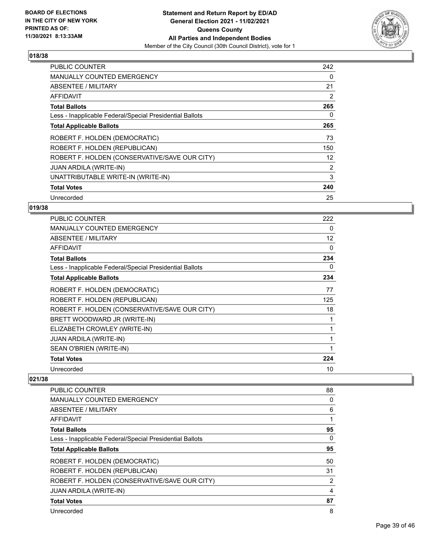

| <b>PUBLIC COUNTER</b>                                    | 242 |
|----------------------------------------------------------|-----|
| <b>MANUALLY COUNTED EMERGENCY</b>                        | 0   |
| <b>ABSENTEE / MILITARY</b>                               | 21  |
| <b>AFFIDAVIT</b>                                         | 2   |
| <b>Total Ballots</b>                                     | 265 |
| Less - Inapplicable Federal/Special Presidential Ballots | 0   |
| <b>Total Applicable Ballots</b>                          | 265 |
| ROBERT F. HOLDEN (DEMOCRATIC)                            | 73  |
| ROBERT F. HOLDEN (REPUBLICAN)                            | 150 |
| ROBERT F. HOLDEN (CONSERVATIVE/SAVE OUR CITY)            | 12  |
| <b>JUAN ARDILA (WRITE-IN)</b>                            | 2   |
| UNATTRIBUTABLE WRITE-IN (WRITE-IN)                       | 3   |
| <b>Total Votes</b>                                       | 240 |
| Unrecorded                                               | 25  |

# **019/38**

| <b>PUBLIC COUNTER</b>                                    | 222      |
|----------------------------------------------------------|----------|
| <b>MANUALLY COUNTED EMERGENCY</b>                        | 0        |
| ABSENTEE / MILITARY                                      | 12       |
| <b>AFFIDAVIT</b>                                         | $\Omega$ |
| <b>Total Ballots</b>                                     | 234      |
| Less - Inapplicable Federal/Special Presidential Ballots | 0        |
| <b>Total Applicable Ballots</b>                          | 234      |
| ROBERT F. HOLDEN (DEMOCRATIC)                            | 77       |
| ROBERT F. HOLDEN (REPUBLICAN)                            | 125      |
| ROBERT F. HOLDEN (CONSERVATIVE/SAVE OUR CITY)            | 18       |
| BRETT WOODWARD JR (WRITE-IN)                             | 1        |
| ELIZABETH CROWLEY (WRITE-IN)                             | 1        |
| <b>JUAN ARDILA (WRITE-IN)</b>                            | 1        |
| SEAN O'BRIEN (WRITE-IN)                                  | 1        |
| <b>Total Votes</b>                                       | 224      |
| Unrecorded                                               | 10       |

| PUBLIC COUNTER                                           | 88 |
|----------------------------------------------------------|----|
| <b>MANUALLY COUNTED EMERGENCY</b>                        | 0  |
| ABSENTEE / MILITARY                                      | 6  |
| AFFIDAVIT                                                | 1  |
| <b>Total Ballots</b>                                     | 95 |
| Less - Inapplicable Federal/Special Presidential Ballots | 0  |
| <b>Total Applicable Ballots</b>                          | 95 |
| ROBERT F. HOLDEN (DEMOCRATIC)                            | 50 |
| ROBERT F. HOLDEN (REPUBLICAN)                            | 31 |
| ROBERT F. HOLDEN (CONSERVATIVE/SAVE OUR CITY)            | 2  |
| <b>JUAN ARDILA (WRITE-IN)</b>                            | 4  |
| <b>Total Votes</b>                                       | 87 |
| Unrecorded                                               | 8  |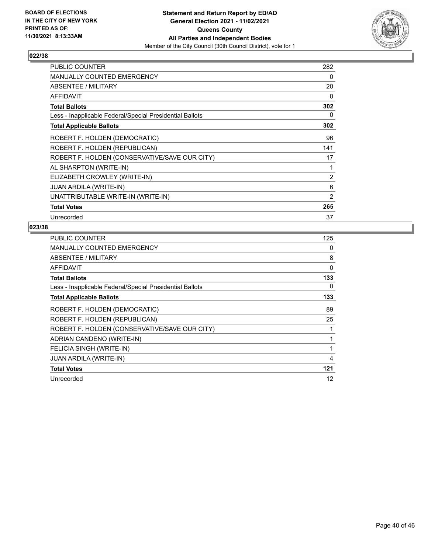

| <b>PUBLIC COUNTER</b>                                    | 282            |
|----------------------------------------------------------|----------------|
| <b>MANUALLY COUNTED EMERGENCY</b>                        | 0              |
| ABSENTEE / MILITARY                                      | 20             |
| <b>AFFIDAVIT</b>                                         | 0              |
| <b>Total Ballots</b>                                     | 302            |
| Less - Inapplicable Federal/Special Presidential Ballots | 0              |
| <b>Total Applicable Ballots</b>                          | 302            |
| ROBERT F. HOLDEN (DEMOCRATIC)                            | 96             |
| ROBERT F. HOLDEN (REPUBLICAN)                            | 141            |
| ROBERT F. HOLDEN (CONSERVATIVE/SAVE OUR CITY)            | 17             |
| AL SHARPTON (WRITE-IN)                                   | 1              |
| ELIZABETH CROWLEY (WRITE-IN)                             | 2              |
| <b>JUAN ARDILA (WRITE-IN)</b>                            | 6              |
| UNATTRIBUTABLE WRITE-IN (WRITE-IN)                       | $\overline{2}$ |
| <b>Total Votes</b>                                       | 265            |
| Unrecorded                                               | 37             |

| <b>PUBLIC COUNTER</b>                                    | 125 |
|----------------------------------------------------------|-----|
| <b>MANUALLY COUNTED EMERGENCY</b>                        | 0   |
| ABSENTEE / MILITARY                                      | 8   |
| AFFIDAVIT                                                | 0   |
| <b>Total Ballots</b>                                     | 133 |
| Less - Inapplicable Federal/Special Presidential Ballots | 0   |
| <b>Total Applicable Ballots</b>                          | 133 |
| ROBERT F. HOLDEN (DEMOCRATIC)                            | 89  |
| ROBERT F. HOLDEN (REPUBLICAN)                            | 25  |
| ROBERT F. HOLDEN (CONSERVATIVE/SAVE OUR CITY)            |     |
| ADRIAN CANDENO (WRITE-IN)                                | 1   |
| FELICIA SINGH (WRITE-IN)                                 | 1   |
| JUAN ARDILA (WRITE-IN)                                   | 4   |
| <b>Total Votes</b>                                       | 121 |
| Unrecorded                                               | 12  |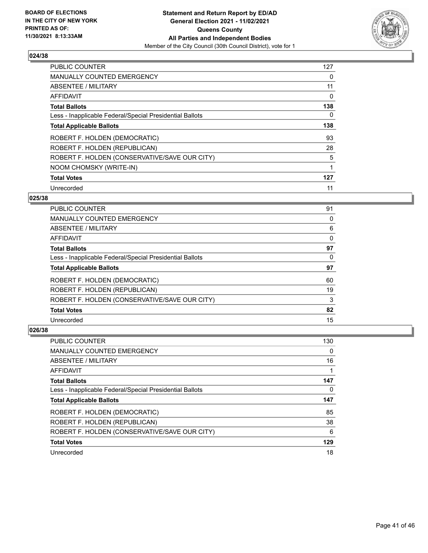

| <b>PUBLIC COUNTER</b>                                    | 127 |
|----------------------------------------------------------|-----|
| <b>MANUALLY COUNTED EMERGENCY</b>                        | 0   |
| ABSENTEE / MILITARY                                      | 11  |
| <b>AFFIDAVIT</b>                                         | 0   |
| <b>Total Ballots</b>                                     | 138 |
| Less - Inapplicable Federal/Special Presidential Ballots | 0   |
| <b>Total Applicable Ballots</b>                          | 138 |
| ROBERT F. HOLDEN (DEMOCRATIC)                            | 93  |
| ROBERT F. HOLDEN (REPUBLICAN)                            | 28  |
| ROBERT F. HOLDEN (CONSERVATIVE/SAVE OUR CITY)            | 5   |
| NOOM CHOMSKY (WRITE-IN)                                  | 1   |
| <b>Total Votes</b>                                       | 127 |
| Unrecorded                                               | 11  |

# **025/38**

| <b>PUBLIC COUNTER</b>                                    | 91       |
|----------------------------------------------------------|----------|
| MANUALLY COUNTED EMERGENCY                               | 0        |
| ABSENTEE / MILITARY                                      | 6        |
| AFFIDAVIT                                                | $\Omega$ |
| <b>Total Ballots</b>                                     | 97       |
| Less - Inapplicable Federal/Special Presidential Ballots | 0        |
| <b>Total Applicable Ballots</b>                          | 97       |
| ROBERT F. HOLDEN (DEMOCRATIC)                            | 60       |
| ROBERT F. HOLDEN (REPUBLICAN)                            | 19       |
| ROBERT F. HOLDEN (CONSERVATIVE/SAVE OUR CITY)            | 3        |
| <b>Total Votes</b>                                       | 82       |
| Unrecorded                                               | 15       |

| PUBLIC COUNTER                                           | 130 |
|----------------------------------------------------------|-----|
| <b>MANUALLY COUNTED EMERGENCY</b>                        | 0   |
| ABSENTEE / MILITARY                                      | 16  |
| AFFIDAVIT                                                |     |
| <b>Total Ballots</b>                                     | 147 |
| Less - Inapplicable Federal/Special Presidential Ballots | 0   |
| <b>Total Applicable Ballots</b>                          | 147 |
| ROBERT F. HOLDEN (DEMOCRATIC)                            | 85  |
| ROBERT F. HOLDEN (REPUBLICAN)                            | 38  |
| ROBERT F. HOLDEN (CONSERVATIVE/SAVE OUR CITY)            | 6   |
| <b>Total Votes</b>                                       | 129 |
| Unrecorded                                               | 18  |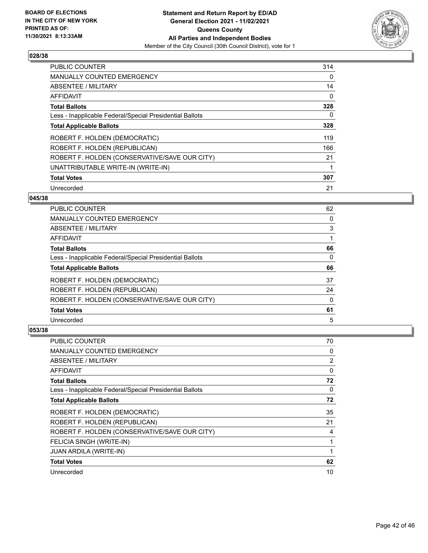

| <b>PUBLIC COUNTER</b>                                    | 314 |
|----------------------------------------------------------|-----|
| <b>MANUALLY COUNTED EMERGENCY</b>                        | 0   |
| ABSENTEE / MILITARY                                      | 14  |
| <b>AFFIDAVIT</b>                                         | 0   |
| <b>Total Ballots</b>                                     | 328 |
| Less - Inapplicable Federal/Special Presidential Ballots | 0   |
| <b>Total Applicable Ballots</b>                          | 328 |
| ROBERT F. HOLDEN (DEMOCRATIC)                            | 119 |
| ROBERT F. HOLDEN (REPUBLICAN)                            | 166 |
| ROBERT F. HOLDEN (CONSERVATIVE/SAVE OUR CITY)            | 21  |
| UNATTRIBUTABLE WRITE-IN (WRITE-IN)                       |     |
| <b>Total Votes</b>                                       | 307 |
| Unrecorded                                               | 21  |

# **045/38**

| <b>PUBLIC COUNTER</b>                                    | 62       |
|----------------------------------------------------------|----------|
| MANUALLY COUNTED EMERGENCY                               | 0        |
| ABSENTEE / MILITARY                                      | 3        |
| AFFIDAVIT                                                |          |
| <b>Total Ballots</b>                                     | 66       |
| Less - Inapplicable Federal/Special Presidential Ballots | $\Omega$ |
| <b>Total Applicable Ballots</b>                          | 66       |
| ROBERT F. HOLDEN (DEMOCRATIC)                            | 37       |
| ROBERT F. HOLDEN (REPUBLICAN)                            | 24       |
| ROBERT F. HOLDEN (CONSERVATIVE/SAVE OUR CITY)            | 0        |
| <b>Total Votes</b>                                       | 61       |
| Unrecorded                                               | 5        |

| <b>PUBLIC COUNTER</b>                                    | 70 |
|----------------------------------------------------------|----|
| MANUALLY COUNTED EMERGENCY                               | 0  |
| ABSENTEE / MILITARY                                      | 2  |
| AFFIDAVIT                                                | 0  |
| <b>Total Ballots</b>                                     | 72 |
| Less - Inapplicable Federal/Special Presidential Ballots | 0  |
| <b>Total Applicable Ballots</b>                          | 72 |
| ROBERT F. HOLDEN (DEMOCRATIC)                            | 35 |
| ROBERT F. HOLDEN (REPUBLICAN)                            | 21 |
| ROBERT F. HOLDEN (CONSERVATIVE/SAVE OUR CITY)            | 4  |
| FELICIA SINGH (WRITE-IN)                                 | 1  |
| <b>JUAN ARDILA (WRITE-IN)</b>                            |    |
| <b>Total Votes</b>                                       | 62 |
| Unrecorded                                               | 10 |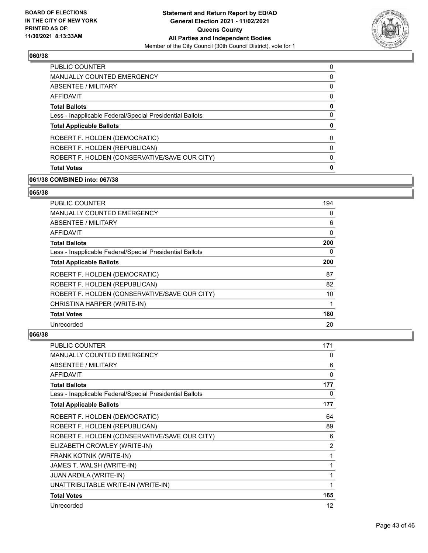

| <b>PUBLIC COUNTER</b>                                    | 0        |
|----------------------------------------------------------|----------|
| <b>MANUALLY COUNTED EMERGENCY</b>                        | 0        |
| ABSENTEE / MILITARY                                      | 0        |
| AFFIDAVIT                                                | 0        |
| <b>Total Ballots</b>                                     | 0        |
| Less - Inapplicable Federal/Special Presidential Ballots | 0        |
| <b>Total Applicable Ballots</b>                          | 0        |
| ROBERT F. HOLDEN (DEMOCRATIC)                            | 0        |
| ROBERT F. HOLDEN (REPUBLICAN)                            | $\Omega$ |
| ROBERT F. HOLDEN (CONSERVATIVE/SAVE OUR CITY)            | 0        |
| <b>Total Votes</b>                                       | 0        |

#### **061/38 COMBINED into: 067/38**

#### **065/38**

| <b>PUBLIC COUNTER</b>                                    | 194 |
|----------------------------------------------------------|-----|
| <b>MANUALLY COUNTED EMERGENCY</b>                        | 0   |
| ABSENTEE / MILITARY                                      | 6   |
| AFFIDAVIT                                                | 0   |
| <b>Total Ballots</b>                                     | 200 |
| Less - Inapplicable Federal/Special Presidential Ballots | 0   |
| <b>Total Applicable Ballots</b>                          | 200 |
| ROBERT F. HOLDEN (DEMOCRATIC)                            | 87  |
| ROBERT F. HOLDEN (REPUBLICAN)                            | 82  |
| ROBERT F. HOLDEN (CONSERVATIVE/SAVE OUR CITY)            | 10  |
| CHRISTINA HARPER (WRITE-IN)                              | 1   |
| <b>Total Votes</b>                                       | 180 |
| Unrecorded                                               | 20  |

| <b>PUBLIC COUNTER</b>                                    | 171            |
|----------------------------------------------------------|----------------|
| <b>MANUALLY COUNTED EMERGENCY</b>                        | 0              |
| ABSENTEE / MILITARY                                      | 6              |
| <b>AFFIDAVIT</b>                                         | 0              |
| <b>Total Ballots</b>                                     | 177            |
| Less - Inapplicable Federal/Special Presidential Ballots | 0              |
| <b>Total Applicable Ballots</b>                          | 177            |
| ROBERT F. HOLDEN (DEMOCRATIC)                            | 64             |
| ROBERT F. HOLDEN (REPUBLICAN)                            | 89             |
| ROBERT F. HOLDEN (CONSERVATIVE/SAVE OUR CITY)            | 6              |
| ELIZABETH CROWLEY (WRITE-IN)                             | $\overline{2}$ |
| FRANK KOTNIK (WRITE-IN)                                  | 1              |
| JAMES T. WALSH (WRITE-IN)                                | 1              |
| <b>JUAN ARDILA (WRITE-IN)</b>                            | 1              |
| UNATTRIBUTABLE WRITE-IN (WRITE-IN)                       | 1              |
| <b>Total Votes</b>                                       | 165            |
| Unrecorded                                               | 12             |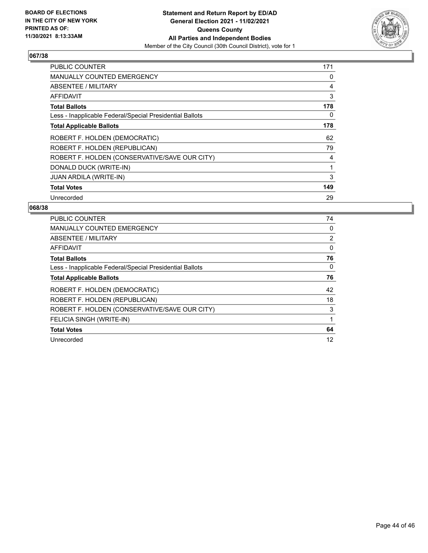

| <b>PUBLIC COUNTER</b>                                    | 171 |
|----------------------------------------------------------|-----|
| <b>MANUALLY COUNTED EMERGENCY</b>                        | 0   |
| ABSENTEE / MILITARY                                      | 4   |
| AFFIDAVIT                                                | 3   |
| <b>Total Ballots</b>                                     | 178 |
| Less - Inapplicable Federal/Special Presidential Ballots | 0   |
| <b>Total Applicable Ballots</b>                          | 178 |
| ROBERT F. HOLDEN (DEMOCRATIC)                            | 62  |
| ROBERT F. HOLDEN (REPUBLICAN)                            | 79  |
| ROBERT F. HOLDEN (CONSERVATIVE/SAVE OUR CITY)            | 4   |
| DONALD DUCK (WRITE-IN)                                   |     |
| JUAN ARDILA (WRITE-IN)                                   | 3   |
| <b>Total Votes</b>                                       | 149 |
| Unrecorded                                               | 29  |

| <b>PUBLIC COUNTER</b>                                    | 74 |
|----------------------------------------------------------|----|
| <b>MANUALLY COUNTED EMERGENCY</b>                        | 0  |
| ABSENTEE / MILITARY                                      | 2  |
| AFFIDAVIT                                                | 0  |
| <b>Total Ballots</b>                                     | 76 |
| Less - Inapplicable Federal/Special Presidential Ballots | 0  |
| <b>Total Applicable Ballots</b>                          | 76 |
| ROBERT F. HOLDEN (DEMOCRATIC)                            | 42 |
| ROBERT F. HOLDEN (REPUBLICAN)                            | 18 |
| ROBERT F. HOLDEN (CONSERVATIVE/SAVE OUR CITY)            | 3  |
| FELICIA SINGH (WRITE-IN)                                 | 1  |
| <b>Total Votes</b>                                       | 64 |
| Unrecorded                                               | 12 |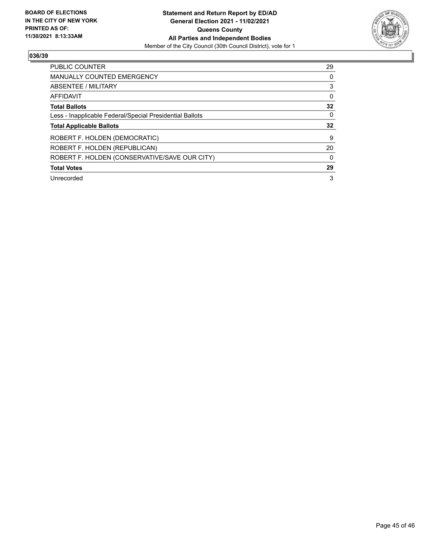

| PUBLIC COUNTER                                           | 29 |
|----------------------------------------------------------|----|
| <b>MANUALLY COUNTED EMERGENCY</b>                        | 0  |
| ABSENTEE / MILITARY                                      | 3  |
| <b>AFFIDAVIT</b>                                         | 0  |
| <b>Total Ballots</b>                                     | 32 |
| Less - Inapplicable Federal/Special Presidential Ballots | 0  |
| <b>Total Applicable Ballots</b>                          | 32 |
| ROBERT F. HOLDEN (DEMOCRATIC)                            | 9  |
| ROBERT F. HOLDEN (REPUBLICAN)                            | 20 |
| ROBERT F. HOLDEN (CONSERVATIVE/SAVE OUR CITY)            | 0  |
|                                                          |    |
| <b>Total Votes</b>                                       | 29 |